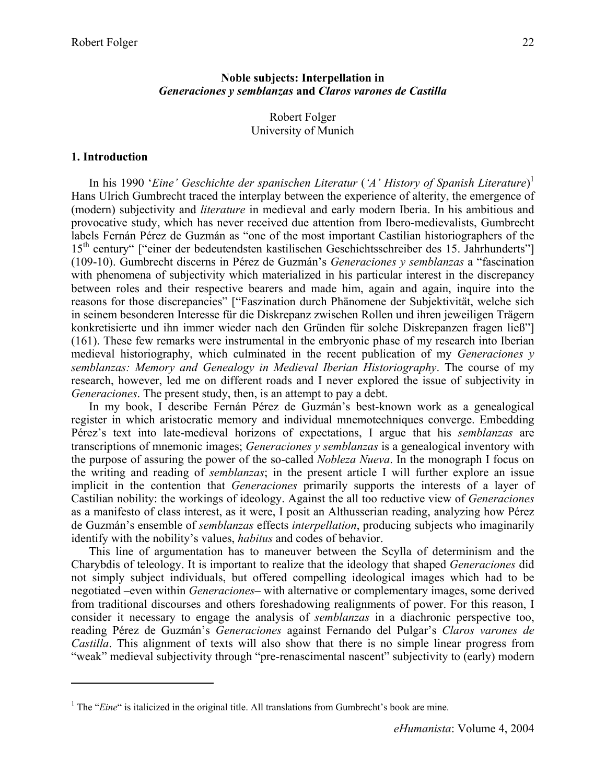## **Noble subjects: Interpellation in**  *Generaciones y semblanzas* **and** *Claros varones de Castilla*

Robert Folger University of Munich

## **1. Introduction**

 $\overline{a}$ 

In his 1990 '*Eine' Geschichte der spanischen Literatur* (*'A' History of Spanish Literature*) 1 Hans Ulrich Gumbrecht traced the interplay between the experience of alterity, the emergence of (modern) subjectivity and *literature* in medieval and early modern Iberia. In his ambitious and provocative study, which has never received due attention from Ibero-medievalists, Gumbrecht labels Fernán Pérez de Guzmán as "one of the most important Castilian historiographers of the 15<sup>th</sup> century" ["einer der bedeutendsten kastilischen Geschichtsschreiber des 15. Jahrhunderts"] (109-10). Gumbrecht discerns in Pérez de Guzmán's *Generaciones y semblanzas* a "fascination with phenomena of subjectivity which materialized in his particular interest in the discrepancy between roles and their respective bearers and made him, again and again, inquire into the reasons for those discrepancies" ["Faszination durch Phänomene der Subjektivität, welche sich in seinem besonderen Interesse für die Diskrepanz zwischen Rollen und ihren jeweiligen Trägern konkretisierte und ihn immer wieder nach den Gründen für solche Diskrepanzen fragen ließ"] (161). These few remarks were instrumental in the embryonic phase of my research into Iberian medieval historiography, which culminated in the recent publication of my *Generaciones y semblanzas: Memory and Genealogy in Medieval Iberian Historiography*. The course of my research, however, led me on different roads and I never explored the issue of subjectivity in *Generaciones*. The present study, then, is an attempt to pay a debt.

In my book, I describe Fernán Pérez de Guzmán's best-known work as a genealogical register in which aristocratic memory and individual mnemotechniques converge. Embedding Pérez's text into late-medieval horizons of expectations, I argue that his *semblanzas* are transcriptions of mnemonic images; *Generaciones y semblanzas* is a genealogical inventory with the purpose of assuring the power of the so-called *Nobleza Nueva*. In the monograph I focus on the writing and reading of *semblanzas*; in the present article I will further explore an issue implicit in the contention that *Generaciones* primarily supports the interests of a layer of Castilian nobility: the workings of ideology. Against the all too reductive view of *Generaciones* as a manifesto of class interest, as it were, I posit an Althusserian reading, analyzing how Pérez de Guzmán's ensemble of *semblanzas* effects *interpellation*, producing subjects who imaginarily identify with the nobility's values, *habitus* and codes of behavior.

This line of argumentation has to maneuver between the Scylla of determinism and the Charybdis of teleology. It is important to realize that the ideology that shaped *Generaciones* did not simply subject individuals, but offered compelling ideological images which had to be negotiated –even within *Generaciones*– with alternative or complementary images, some derived from traditional discourses and others foreshadowing realignments of power. For this reason, I consider it necessary to engage the analysis of *semblanzas* in a diachronic perspective too, reading Pérez de Guzmán's *Generaciones* against Fernando del Pulgar's *Claros varones de Castilla*. This alignment of texts will also show that there is no simple linear progress from "weak" medieval subjectivity through "pre-renascimental nascent" subjectivity to (early) modern

<sup>&</sup>lt;sup>1</sup> The "*Eine*" is italicized in the original title. All translations from Gumbrecht's book are mine.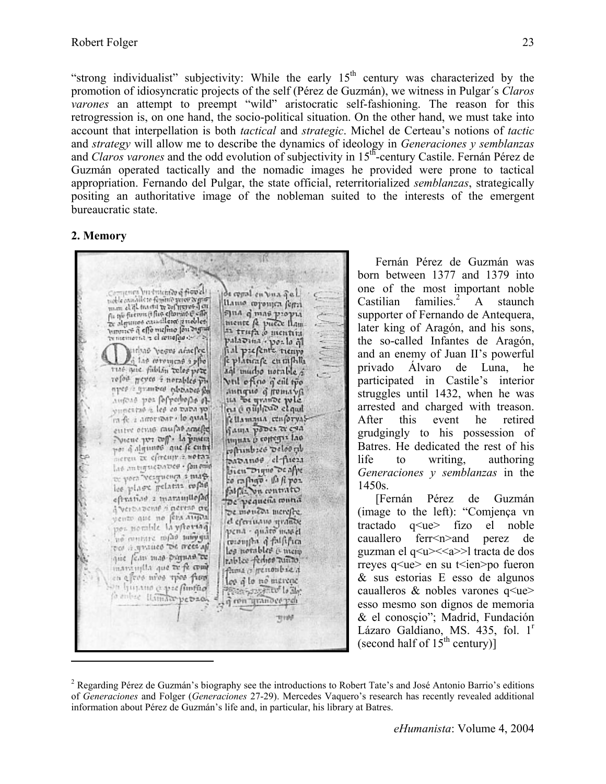"strong individualist" subjectivity: While the early  $15<sup>th</sup>$  century was characterized by the promotion of idiosyncratic projects of the self (Pérez de Guzmán), we witness in Pulgar´s *Claros varones* an attempt to preempt "wild" aristocratic self-fashioning. The reason for this retrogression is, on one hand, the socio-political situation. On the other hand, we must take into account that interpellation is both *tactical* and *strategic*. Michel de Certeau's notions of *tactic* and *strategy* will allow me to describe the dynamics of ideology in *Generaciones y semblanzas* and *Claros varones* and the odd evolution of subjectivity in 15th-century Castile. Fernán Pérez de Guzmán operated tactically and the nomadic images he provided were prone to tactical appropriation. Fernando del Pulgar, the state official, reterritorialized *semblanzas*, strategically positing an authoritative image of the nobleman suited to the interests of the emergent bureaucratic state.

### **2. Memory**

üΚ  $\label{eq:conformal} \begin{array}{ll} \text{Corresponding but therefore of fccovles} \\ \text{node} \\ \text{non. of gL} \\ \text{non. of gL} \\ \text{non. of gL} \\ \text{non. of gL} \\ \text{non. of gL} \\ \text{non. of gL} \\ \text{non. of gL} \\ \text{non. of gL} \\ \text{non. of gL} \\ \text{non. of gL} \\ \text{non. of gL} \\ \text{non. of gL} \\ \text{non. of gL} \\ \text{non. of gL} \\ \text{non. of gL} \\ \text{non. of gL} \\ \text{non. of gL} \\ \text{non. of gL} \\ \text{$ de copal en vua de l' llamo coponica ferrà sus q mas propri mente de puese flam-<br>an trupa o mentin ty memoria - el senafas de la palaouna - poulo al erhad vesus ataefee.<br>La tae ceremone a plus fial prefents trempo e plantafe entafhlla tuse que fabilia reles pere and murbo notable 5 refor geyes i norables pre Vril oficio q eil tro nper i grantes plotates for Austras por forperborso of ita de grande pole vunction a les co tutta yo in fe a amoritant - lo qual fellamana cosforyas entre etute caufas acades Sama pobes to can por à algunas que je entre tiquas o coregis lao contrabece velocity neren zu eftremp z. notaz papanoo el-fueza las antiquepapes - fon emo bien Digne De affe the yorn "verguence a margco capigo - A A poz les plase gelatis refas eftration a maramitefac De pequeña contra a verbabene finerene ne De monton merefre. pento que no fera augua el eferiuano strantie pena - quato masel. no contate mais subyque coronyta of falsifica be the result of the content que fem mas pagnas te Pablee Perhet Rundo. maninglia que te fe come on eleve who thee find los q lo no mercac on himano e prefintito **Prancipal Color**<br>Georgene poli fo antese Haman petraon **TETION**  $\overline{a}$ 

Fernán Pérez de Guzmán was born between 1377 and 1379 into one of the most important noble Castilian families.<sup>2</sup> A staunch supporter of Fernando de Antequera, later king of Aragón, and his sons, the so-called Infantes de Aragón, and an enemy of Juan II's powerful privado Álvaro de Luna, he participated in Castile's interior struggles until 1432, when he was arrested and charged with treason. After this event he retired grudgingly to his possession of Batres. He dedicated the rest of his life to writing, authoring *Generaciones y semblanzas* in the 1450s.

[Fernán Pérez de Guzmán (image to the left): "Comjença vn tractado q<ue> fizo el noble cauallero ferr<n>and perez de guzman el q<u><<a>>l tracta de dos rreyes q<ue > en su t ien > po fueron & sus estorias E esso de algunos caualleros  $\&$  nobles varones q $\leq$ ue $\geq$ esso mesmo son dignos de memoria & el conosçio"; Madrid, Fundación Lázaro Galdiano, MS. 435, fol. 1<sup>r</sup> (second half of  $15^{th}$  century)]

<sup>&</sup>lt;sup>2</sup> Regarding Pérez de Guzmán's biography see the introductions to Robert Tate's and José Antonio Barrio's editions of *Generaciones* and Folger (*Generaciones* 27-29). Mercedes Vaquero's research has recently revealed additional information about Pérez de Guzmán's life and, in particular, his library at Batres.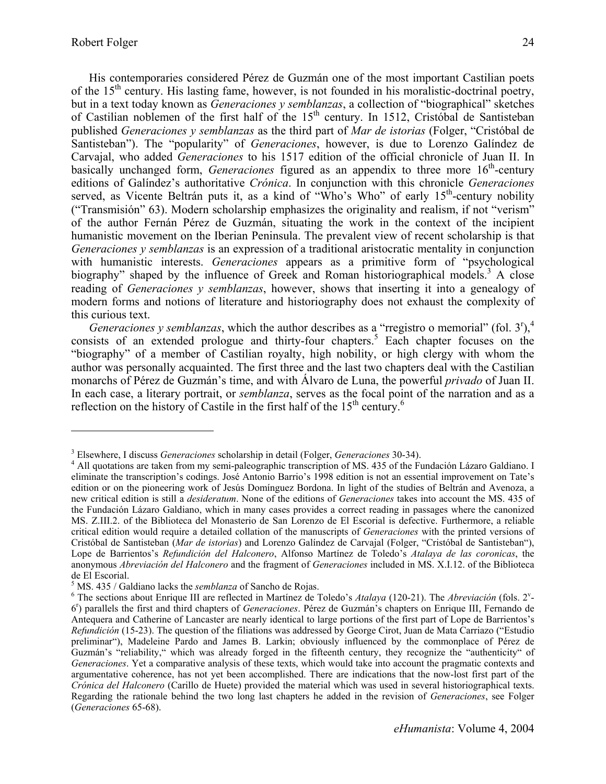His contemporaries considered Pérez de Guzmán one of the most important Castilian poets of the  $15<sup>th</sup>$  century. His lasting fame, however, is not founded in his moralistic-doctrinal poetry, but in a text today known as *Generaciones y semblanzas*, a collection of "biographical" sketches of Castilian noblemen of the first half of the 15<sup>th</sup> century. In 1512, Cristóbal de Santisteban published *Generaciones y semblanzas* as the third part of *Mar de istorias* (Folger, "Cristóbal de Santisteban"). The "popularity" of *Generaciones*, however, is due to Lorenzo Galíndez de Carvajal, who added *Generaciones* to his 1517 edition of the official chronicle of Juan II. In basically unchanged form, *Generaciones* figured as an appendix to three more 16<sup>th</sup>-century editions of Galíndez's authoritative *Crónica*. In conjunction with this chronicle *Generaciones* served, as Vicente Beltrán puts it, as a kind of "Who's Who" of early  $15<sup>th</sup>$ -century nobility ("Transmisión" 63). Modern scholarship emphasizes the originality and realism, if not "verism" of the author Fernán Pérez de Guzmán, situating the work in the context of the incipient humanistic movement on the Iberian Peninsula. The prevalent view of recent scholarship is that *Generaciones y semblanzas* is an expression of a traditional aristocratic mentality in conjunction with humanistic interests. *Generaciones* appears as a primitive form of "psychological biography" shaped by the influence of Greek and Roman historiographical models.<sup>3</sup> A close reading of *Generaciones y semblanzas*, however, shows that inserting it into a genealogy of modern forms and notions of literature and historiography does not exhaust the complexity of this curious text.

*Generaciones y semblanzas*, which the author describes as a "rregistro o memorial" (fol.  $3<sup>r</sup>$ ),<sup>4</sup> consists of an extended prologue and thirty-four chapters.<sup>5</sup> Each chapter focuses on the "biography" of a member of Castilian royalty, high nobility, or high clergy with whom the author was personally acquainted. The first three and the last two chapters deal with the Castilian monarchs of Pérez de Guzmán's time, and with Álvaro de Luna, the powerful *privado* of Juan II. In each case, a literary portrait, or *semblanza*, serves as the focal point of the narration and as a reflection on the history of Castile in the first half of the  $15<sup>th</sup>$  century.<sup>6</sup>

<sup>&</sup>lt;sup>3</sup> Elsewhere. I discuss *Generaciones* scholarship in detail (Folger, *Generaciones* 30-34).

<sup>&</sup>lt;sup>3</sup> Elsewhere, I discuss *Generaciones* scholarship in detail (Folger, *Generaciones* 30-34).<br><sup>4</sup> All quotations are taken from my semi-paleographic transcription of MS. 435 of the Fundación Lázaro Galdiano. I eliminate the transcription's codings. José Antonio Barrio's 1998 edition is not an essential improvement on Tate's edition or on the pioneering work of Jesús Domínguez Bordona. In light of the studies of Beltrán and Avenoza, a new critical edition is still a *desideratum*. None of the editions of *Generaciones* takes into account the MS. 435 of the Fundación Lázaro Galdiano, which in many cases provides a correct reading in passages where the canonized MS. Z.III.2. of the Biblioteca del Monasterio de San Lorenzo de El Escorial is defective. Furthermore, a reliable critical edition would require a detailed collation of the manuscripts of *Generaciones* with the printed versions of Cristóbal de Santisteban (*Mar de istorias*) and Lorenzo Galíndez de Carvajal (Folger, "Cristóbal de Santisteban"), Lope de Barrientos's *Refundición del Halconero*, Alfonso Martínez de Toledo's *Atalaya de las coronicas*, the anonymous *Abreviación del Halconero* and the fragment of *Generaciones* included in MS. X.I.12. of the Biblioteca de El Escorial.<br>  $5 \text{MS}$  425 / Gel

MS. 435 / Galdiano lacks the *semblanza* of Sancho de Rojas.

The sections about Enrique III are reflected in Martínez de Toledo's *Atalaya* (120-21). The *Abreviación* (fols. 2<sup>v</sup> - 6r ) parallels the first and third chapters of *Generaciones*. Pérez de Guzmán's chapters on Enrique III, Fernando de Antequera and Catherine of Lancaster are nearly identical to large portions of the first part of Lope de Barrientos's *Refundición* (15-23). The question of the filiations was addressed by George Cirot, Juan de Mata Carriazo ("Estudio preliminar"), Madeleine Pardo and James B. Larkin; obviously influenced by the commonplace of Pérez de Guzmán's "reliability," which was already forged in the fifteenth century, they recognize the "authenticity" of *Generaciones*. Yet a comparative analysis of these texts, which would take into account the pragmatic contexts and argumentative coherence, has not yet been accomplished. There are indications that the now-lost first part of the *Crónica del Halconero* (Carillo de Huete) provided the material which was used in several historiographical texts. Regarding the rationale behind the two long last chapters he added in the revision of *Generaciones*, see Folger (*Generaciones* 65-68).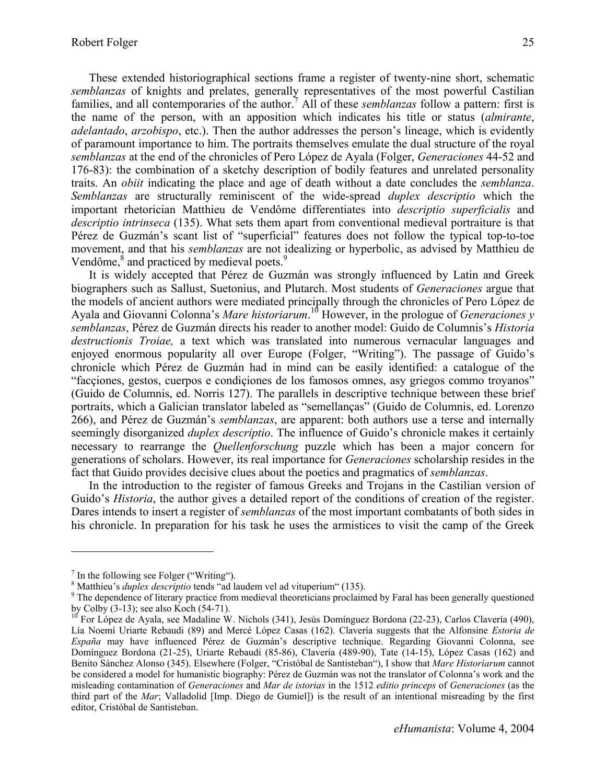These extended historiographical sections frame a register of twenty-nine short, schematic *semblanzas* of knights and prelates, generally representatives of the most powerful Castilian families, and all contemporaries of the author.<sup>7</sup> All of these *semblanzas* follow a pattern: first is the name of the person, with an apposition which indicates his title or status (*almirante*, *adelantado*, *arzobispo*, etc.). Then the author addresses the person's lineage, which is evidently of paramount importance to him. The portraits themselves emulate the dual structure of the royal *semblanzas* at the end of the chronicles of Pero López de Ayala (Folger, *Generaciones* 44-52 and 176-83): the combination of a sketchy description of bodily features and unrelated personality traits. An *obiit* indicating the place and age of death without a date concludes the *semblanza*. *Semblanzas* are structurally reminiscent of the wide-spread *duplex descriptio* which the important rhetorician Matthieu de Vendôme differentiates into *descriptio superficialis* and *descriptio intrinseca* (135). What sets them apart from conventional medieval portraiture is that Pérez de Guzmán's scant list of "superficial" features does not follow the typical top-to-toe movement, and that his *semblanzas* are not idealizing or hyperbolic, as advised by Matthieu de Vendôme, ${}^{8}$  and practiced by medieval poets. ${}^{9}$ 

It is widely accepted that Pérez de Guzmán was strongly influenced by Latin and Greek biographers such as Sallust, Suetonius, and Plutarch. Most students of *Generaciones* argue that the models of ancient authors were mediated principally through the chronicles of Pero López de Ayala and Giovanni Colonna's *Mare historiarum*. 10 However, in the prologue of *Generaciones y semblanzas*, Pérez de Guzmán directs his reader to another model: Guido de Columnis's *Historia destructionis Troiae,* a text which was translated into numerous vernacular languages and enjoyed enormous popularity all over Europe (Folger, "Writing"). The passage of Guido's chronicle which Pérez de Guzmán had in mind can be easily identified: a catalogue of the "facçiones, gestos, cuerpos e condiçiones de los famosos omnes, asy griegos commo troyanos" (Guido de Columnis, ed. Norris 127). The parallels in descriptive technique between these brief portraits, which a Galician translator labeled as "semellanças" (Guido de Columnis, ed. Lorenzo 266), and Pérez de Guzmán's *semblanzas*, are apparent: both authors use a terse and internally seemingly disorganized *duplex descriptio*. The influence of Guido's chronicle makes it certainly necessary to rearrange the *Quellenforschung* puzzle which has been a major concern for generations of scholars. However, its real importance for *Generaciones* scholarship resides in the fact that Guido provides decisive clues about the poetics and pragmatics of *semblanzas*.

In the introduction to the register of famous Greeks and Trojans in the Castilian version of Guido's *Historia*, the author gives a detailed report of the conditions of creation of the register. Dares intends to insert a register of *semblanzas* of the most important combatants of both sides in his chronicle. In preparation for his task he uses the armistices to visit the camp of the Greek

1

<sup>&</sup>lt;sup>7</sup> In the following see Folger ("Writing").<br>
<sup>8</sup> Matthieu's *duplex descriptio* tends "ad laudem vel ad vituperium" (135).<br>
<sup>9</sup> The dependence of literary prostice from modicyal theoreticing proclaim

<sup>&</sup>lt;sup>9</sup> The dependence of literary practice from medieval theoreticians proclaimed by Faral has been generally questioned by Colby (3-13); see also Koch (54-71).

<sup>&</sup>lt;sup>10</sup> For López de Ayala, see Madaline W. Nichols (341), Jesús Domínguez Bordona (22-23), Carlos Clavería (490), Lía Noemí Uriarte Rebaudi (89) and Mercé López Casas (162). Clavería suggests that the Alfonsine *Estoria de España* may have influenced Pérez de Guzmán's descriptive technique. Regarding Giovanni Colonna, see Domínguez Bordona (21-25), Uriarte Rebaudi (85-86), Clavería (489-90), Tate (14-15), López Casas (162) and Benito Sánchez Alonso (345). Elsewhere (Folger, "Cristóbal de Santisteban"), I show that *Mare Historiarum* cannot be considered a model for humanistic biography: Pérez de Guzmán was not the translator of Colonna's work and the misleading contamination of *Generaciones* and *Mar de istorias* in the 1512 *editio princeps* of *Generaciones* (as the third part of the *Mar*; Valladolid [Imp. Diego de Gumiel]) is the result of an intentional misreading by the first editor, Cristóbal de Santisteban.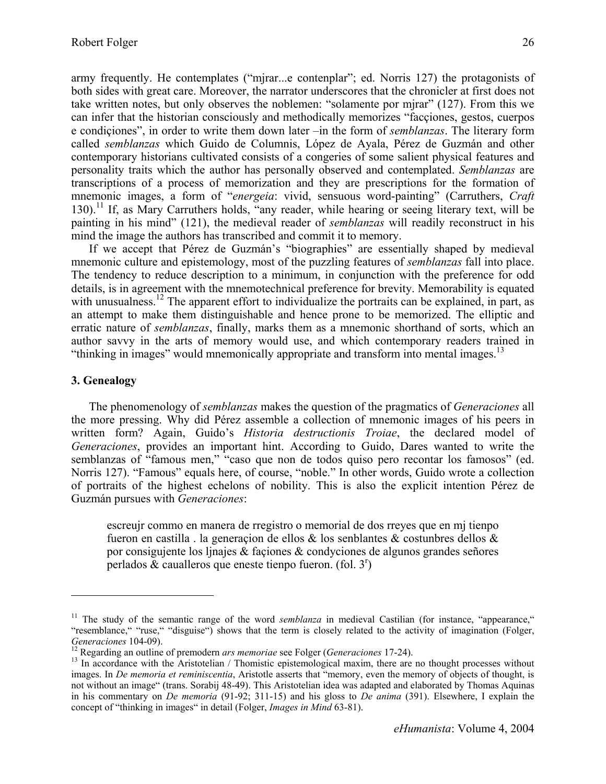army frequently. He contemplates ("mjrar...e contenplar"; ed. Norris 127) the protagonists of both sides with great care. Moreover, the narrator underscores that the chronicler at first does not take written notes, but only observes the noblemen: "solamente por mjrar" (127). From this we can infer that the historian consciously and methodically memorizes "facçiones, gestos, cuerpos e condiçiones", in order to write them down later –in the form of *semblanzas*. The literary form called *semblanzas* which Guido de Columnis, López de Ayala, Pérez de Guzmán and other contemporary historians cultivated consists of a congeries of some salient physical features and personality traits which the author has personally observed and contemplated. *Semblanzas* are transcriptions of a process of memorization and they are prescriptions for the formation of mnemonic images, a form of "*energeia*: vivid, sensuous word-painting" (Carruthers, *Craft* 130).<sup>11</sup> If, as Mary Carruthers holds, "any reader, while hearing or seeing literary text, will be painting in his mind" (121), the medieval reader of *semblanzas* will readily reconstruct in his mind the image the authors has transcribed and commit it to memory.

If we accept that Pérez de Guzmán's "biographies" are essentially shaped by medieval mnemonic culture and epistemology, most of the puzzling features of *semblanzas* fall into place. The tendency to reduce description to a minimum, in conjunction with the preference for odd details, is in agreement with the mnemotechnical preference for brevity. Memorability is equated with unusualness.<sup>12</sup> The apparent effort to individualize the portraits can be explained, in part, as an attempt to make them distinguishable and hence prone to be memorized. The elliptic and erratic nature of *semblanzas*, finally, marks them as a mnemonic shorthand of sorts, which an author savvy in the arts of memory would use, and which contemporary readers trained in "thinking in images" would mnemonically appropriate and transform into mental images.<sup>13</sup>

## **3. Genealogy**

 $\overline{a}$ 

The phenomenology of *semblanzas* makes the question of the pragmatics of *Generaciones* all the more pressing. Why did Pérez assemble a collection of mnemonic images of his peers in written form? Again, Guido's *Historia destructionis Troiae*, the declared model of *Generaciones*, provides an important hint. According to Guido, Dares wanted to write the semblanzas of "famous men," "caso que non de todos quiso pero recontar los famosos" (ed. Norris 127). "Famous" equals here, of course, "noble." In other words, Guido wrote a collection of portraits of the highest echelons of nobility. This is also the explicit intention Pérez de Guzmán pursues with *Generaciones*:

escreujr commo en manera de rregistro o memorial de dos rreyes que en mj tienpo fueron en castilla . la generaçion de ellos & los senblantes & costunbres dellos & por consigujente los ljnajes & façiones & condyciones de algunos grandes señores perlados  $\&$  caualleros que eneste tienpo fueron. (fol. 3<sup>r</sup>)

<sup>&</sup>lt;sup>11</sup> The study of the semantic range of the word *semblanza* in medieval Castilian (for instance, "appearance," "resemblance," "ruse," "disguise") shows that the term is closely related to the activity of imagination (Folger, Generaciones 104-09).<br><sup>12</sup> Regarding an outline of premodern *ars memoriae* see Folger (Generaciones 17-24).<br><sup>13</sup> In accordance with the Aristotelian / Thomistic epistemological maxim, there are no thought processes withou

images. In *De memoria et reminiscentia*, Aristotle asserts that "memory, even the memory of objects of thought, is not without an image" (trans. Sorabij 48-49). This Aristotelian idea was adapted and elaborated by Thomas Aquinas in his commentary on *De memoria* (91-92; 311-15) and his gloss to *De anima* (391). Elsewhere, I explain the concept of "thinking in images" in detail (Folger, *Images in Mind* 63-81).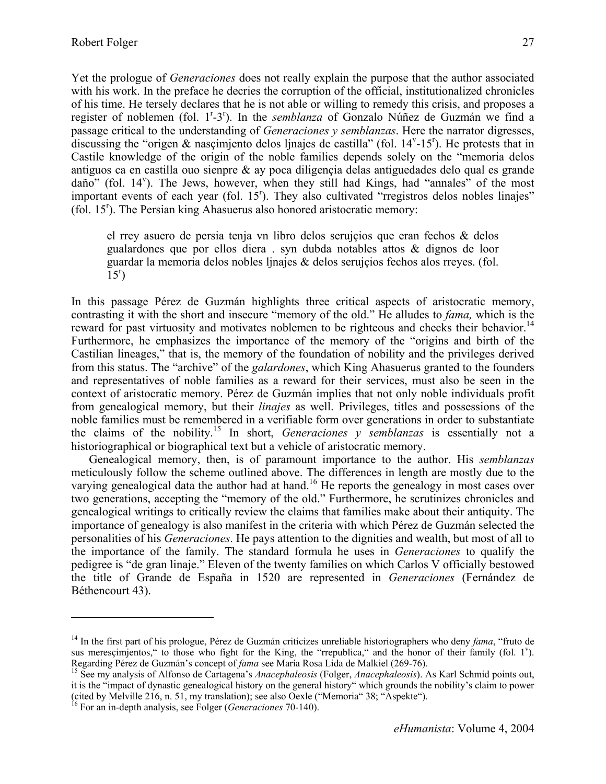Yet the prologue of *Generaciones* does not really explain the purpose that the author associated with his work. In the preface he decries the corruption of the official, institutionalized chronicles of his time. He tersely declares that he is not able or willing to remedy this crisis, and proposes a register of noblemen (fol. 1<sup>r</sup>-3<sup>r</sup>). In the *semblanza* of Gonzalo Núñez de Guzmán we find a passage critical to the understanding of *Generaciones y semblanzas*. Here the narrator digresses, discussing the "origen  $\&$  nascimiento delos ljnajes de castilla" (fol. 14 $v$ -15 $v$ ). He protests that in Castile knowledge of the origin of the noble families depends solely on the "memoria delos antiguos ca en castilla ouo sienpre  $\&$  ay poca diligencia delas antiguedades delo qual es grande daño" (fol. 14<sup>v</sup>). The Jews, however, when they still had Kings, had "annales" of the most important events of each year (fol.  $15<sup>r</sup>$ ). They also cultivated "rregistros delos nobles linajes" (fol. 15<sup>r</sup>). The Persian king Ahasuerus also honored aristocratic memory:

el rrey asuero de persia tenja vn libro delos serujçios que eran fechos & delos gualardones que por ellos diera . syn dubda notables attos & dignos de loor guardar la memoria delos nobles ljnajes & delos serujçios fechos alos rreyes. (fol.  $\tilde{1}5^r$ 

In this passage Pérez de Guzmán highlights three critical aspects of aristocratic memory, contrasting it with the short and insecure "memory of the old." He alludes to *fama,* which is the reward for past virtuosity and motivates noblemen to be righteous and checks their behavior.<sup>14</sup> Furthermore, he emphasizes the importance of the memory of the "origins and birth of the Castilian lineages," that is, the memory of the foundation of nobility and the privileges derived from this status. The "archive" of the *galardones*, which King Ahasuerus granted to the founders and representatives of noble families as a reward for their services, must also be seen in the context of aristocratic memory. Pérez de Guzmán implies that not only noble individuals profit from genealogical memory, but their *linajes* as well. Privileges, titles and possessions of the noble families must be remembered in a verifiable form over generations in order to substantiate the claims of the nobility.15 In short, *Generaciones y semblanzas* is essentially not a historiographical or biographical text but a vehicle of aristocratic memory.

Genealogical memory, then, is of paramount importance to the author. His *semblanzas* meticulously follow the scheme outlined above. The differences in length are mostly due to the varying genealogical data the author had at hand.<sup>16</sup> He reports the genealogy in most cases over two generations, accepting the "memory of the old." Furthermore, he scrutinizes chronicles and genealogical writings to critically review the claims that families make about their antiquity. The importance of genealogy is also manifest in the criteria with which Pérez de Guzmán selected the personalities of his *Generaciones*. He pays attention to the dignities and wealth, but most of all to the importance of the family. The standard formula he uses in *Generaciones* to qualify the pedigree is "de gran linaje." Eleven of the twenty families on which Carlos V officially bestowed the title of Grande de España in 1520 are represented in *Generaciones* (Fernández de Béthencourt 43).

1

<sup>14</sup> In the first part of his prologue, Pérez de Guzmán criticizes unreliable historiographers who deny *fama*, "fruto de sus merescimientos," to those who fight for the King, the "rrepublica," and the honor of their family (fol.  $1$ ). Regarding Pérez de Guzmán's concept of *fama* see María Rosa Lida de Malkiel (269-76).<br><sup>15</sup> See my analysis of Alfonso de Cartagena's *Anacephaleosis* (Folger, *Anacephaleosis*). As Karl Schmid points out,

it is the "impact of dynastic genealogical history on the general history" which grounds the nobility's claim to power (cited by Melville 216, n. 51, my translation); see also Oexle ("Memoria" 38; "Aspekte"). 16 For an in-depth analysis, see Folger (*Generaciones* 70-140).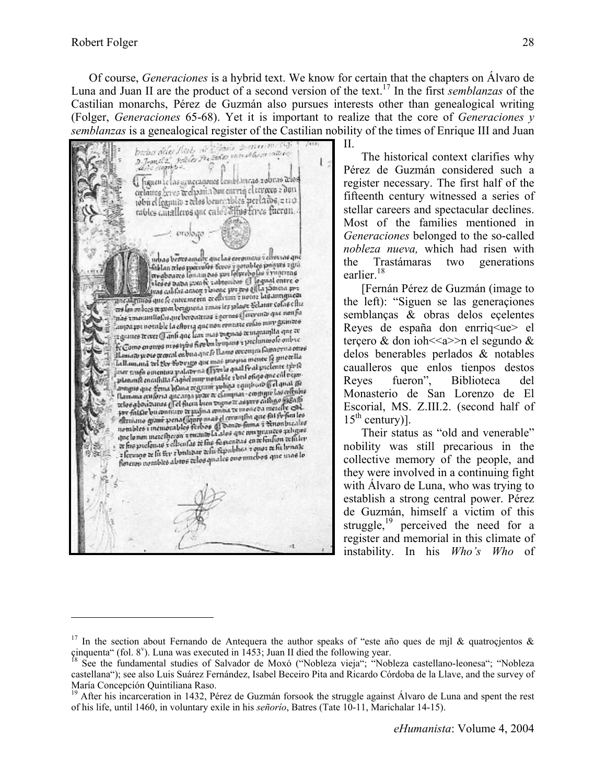1

Of course, *Generaciones* is a hybrid text. We know for certain that the chapters on Álvaro de Luna and Juan II are the product of a second version of the text.17 In the first *semblanzas* of the Castilian monarchs, Pérez de Guzmán also pursues interests other than genealogical writing (Folger, *Generaciones* 65-68). Yet it is important to realize that the core of *Generaciones y semblanzas* is a genealogical register of the Castilian nobility of the times of Enrique III and Juan  $\prod$ 

brous dite Misi, a cada anno constantino<br>n Jamel 2, solita Pri ada anno constantino<br>sano imposizio  $\frac{1}{2}$ G hanen le las acuecaganes Lembianego zobrao delos captures from archaeain des curvie clienges a don toba el fegunto e tebro benecables per la dos e no tables canalleros que enlocalhos ferres fueron. Cont. urbas beresamely que las coroniars i ellevas que - and occupation for two a periodic property and<br>Trightness for any two you followed to a visit and are des de toutes de la construcción en la properte de la parte de la parte de la parte de la parte de la parte de la parte de la parte de la parte de la parte de la parte de la parte de la parte de la parte de la parte de ancalamus que le entremeten se curve je plage Selatur colos ellu.<br>Tos las onbocs texas berguesia imagine le plage Selatur colos ellu. and les ondons transmittellen i man un pour le provente que men fut<br>Inde transmittellen que barontenes i gerrens (l'emperato que men fut<br>Inde transmittel ante comentamento que berevarias e germanas.<br>Ampaque notable la eftoria que non romente colas muy guintes.<br>Nati consumer accords to chorig que non romano se ingramita que se.<br>Camero se ace () anti que las quas suguran se ingramita que se. programes trevere () amb que less ques tregueses transpositions este co<br>He Como enormes mixemples fixedes byugans a preclamatele entres<br>Hessaati prove travent en buagine le llama ouverages Guineprisa otros<br>Lallamana de l'A ilaman prese mmal enbuaque le tiame propriette le guerella.<br>Inflamană vel Ber Fovrigo que mai proprie mente le guerella.<br>Inflama tro R iallamand tel 1944 fotorigo que más propia mente estate tipo?<br>faur tenfo omentua palaterna (Free lo qual frai precinte tipo?<br>, planans encashita l'aghel suprant voltat e ambard free al pear. planente encafulla Cagnetouse notable sous planet of el qual tie<br>among que densa hilana vergente soliga composit (i el qual tie<br>il mongolo des announces es classica - contuit las celtric avague que d'ena blana regrant politie confuse y el medidier.<br>Il amana culpria que arga poze a clampia - confuse significa-<br>celos aborizanos (i el filoso bien vigno a aquest callego significa-<br>per fittile bu constant el po por faithe bu constant te pafina contat te incide oa measter care.<br>Elemano grant pena (fante maa) el cerona fin que fai fe finales<br>nembles i memorables ferbos (a bana fama i temperales<br>que lomm meacher du finales de sances que lo non increstrezon a transmission que se en retralion refuter<br>or fregorelonas a elleculas de frego famousas e en retralion refuter at fine proclamate it of the matter is the fine contained to an international common<br>international fit they are britained as the strength of the street of the largest of the unneble a fermano de fie ter a britanar del a depuisito. Estado a que una dio

II.

The historical context clarifies why Pérez de Guzmán considered such a register necessary. The first half of the fifteenth century witnessed a series of stellar careers and spectacular declines. Most of the families mentioned in *Generaciones* belonged to the so-called *nobleza nueva,* which had risen with the Trastámaras two generations earlier.<sup>18</sup>

[Fernán Pérez de Guzmán (image to the left): "Siguen se las generaçiones semblanças & obras delos eçelentes Reyes de españa don enrriq<ue> el terçero & don ioh $\leq$ a $\geq$ n el segundo & delos benerables perlados & notables caualleros que enlos tienpos destos Reyes fueron", Biblioteca del Monasterio de San Lorenzo de El Escorial, MS. Z.III.2. (second half of  $15<sup>th</sup>$  century)].

Their status as "old and venerable" nobility was still precarious in the collective memory of the people, and they were involved in a continuing fight with Álvaro de Luna, who was trying to establish a strong central power. Pérez de Guzmán, himself a victim of this struggle, $^{19}$  perceived the need for a register and memorial in this climate of instability. In his *Who's Who* of

<sup>&</sup>lt;sup>17</sup> In the section about Fernando de Antequera the author speaks of "este año ques de mjl & quatrocjentos & cinquenta" (fol. 8<sup>v</sup>). Luna was executed in 1453; Juan II died the following year.<br><sup>18</sup> See the fundamental studies of Salvador de Moxó ("Nobleza vieja"; "Nobleza castellano-leonesa"; "Nobleza

castellana"); see also Luis Suárez Fernández, Isabel Beceiro Pita and Ricardo Córdoba de la Llave, and the survey of María Concepción Quintiliana Raso.

<sup>&</sup>lt;sup>19</sup> After his incarceration in 1432, Pérez de Guzmán forsook the struggle against Álvaro de Luna and spent the rest of his life, until 1460, in voluntary exile in his *señorío*, Batres (Tate 10-11, Marichalar 14-15).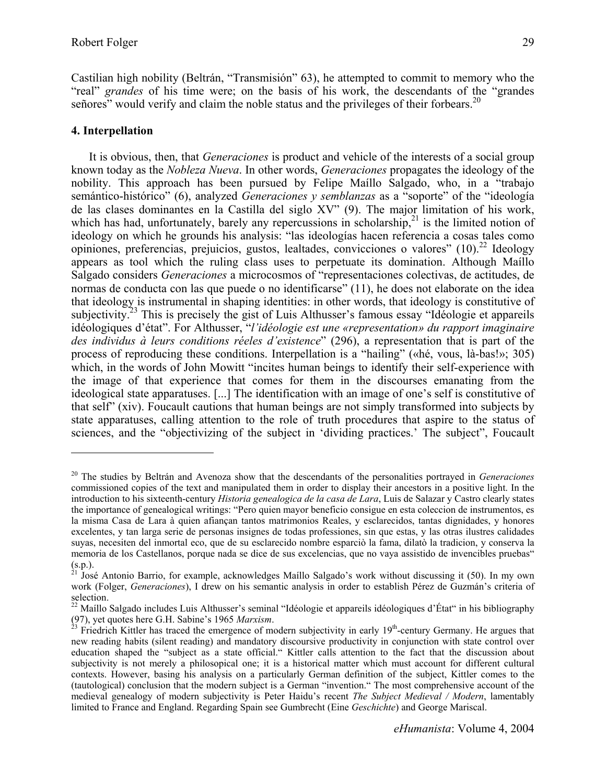Castilian high nobility (Beltrán, "Transmisión" 63), he attempted to commit to memory who the "real" *grandes* of his time were; on the basis of his work, the descendants of the "grandes señores" would verify and claim the noble status and the privileges of their forbears.<sup>20</sup>

### **4. Interpellation**

1

It is obvious, then, that *Generaciones* is product and vehicle of the interests of a social group known today as the *Nobleza Nueva*. In other words, *Generaciones* propagates the ideology of the nobility. This approach has been pursued by Felipe Maíllo Salgado, who, in a "trabajo semántico-histórico" (6), analyzed *Generaciones y semblanzas* as a "soporte" of the "ideología de las clases dominantes en la Castilla del siglo XV" (9). The major limitation of his work, which has had, unfortunately, barely any repercussions in scholarship,  $^{21}$  is the limited notion of ideology on which he grounds his analysis: "las ideologías hacen referencia a cosas tales como opiniones, preferencias, prejuicios, gustos, lealtades, convicciones o valores"  $(10)^{22}$  Ideology appears as tool which the ruling class uses to perpetuate its domination. Although Maíllo Salgado considers *Generaciones* a microcosmos of "representaciones colectivas, de actitudes, de normas de conducta con las que puede o no identificarse" (11), he does not elaborate on the idea that ideology is instrumental in shaping identities: in other words, that ideology is constitutive of subjectivity.<sup>23</sup> This is precisely the gist of Luis Althusser's famous essay "Idéologie et appareils" idéologiques d'état". For Althusser, "*l'idéologie est une «representation» du rapport imaginaire des individus à leurs conditions réeles d'existence*" (296), a representation that is part of the process of reproducing these conditions. Interpellation is a "hailing" («hé, vous, là-bas!»; 305) which, in the words of John Mowitt "incites human beings to identify their self-experience with the image of that experience that comes for them in the discourses emanating from the ideological state apparatuses. [...] The identification with an image of one's self is constitutive of that self" (xiv). Foucault cautions that human beings are not simply transformed into subjects by state apparatuses, calling attention to the role of truth procedures that aspire to the status of sciences, and the "objectivizing of the subject in 'dividing practices.' The subject", Foucault

<sup>20</sup> The studies by Beltrán and Avenoza show that the descendants of the personalities portrayed in *Generaciones* commissioned copies of the text and manipulated them in order to display their ancestors in a positive light. In the introduction to his sixteenth-century *Historia genealogica de la casa de Lara*, Luis de Salazar y Castro clearly states the importance of genealogical writings: "Pero quien mayor beneficio consigue en esta coleccion de instrumentos, es la misma Casa de Lara à quien afiançan tantos matrimonios Reales, y esclarecidos, tantas dignidades, y honores excelentes, y tan larga serie de personas insignes de todas professiones, sin que estas, y las otras ilustres calidades suyas, necesiten del inmortal eco, que de su esclarecido nombre esparciò la fama, dilatò la tradicion, y conserva la memoria de los Castellanos, porque nada se dice de sus excelencias, que no vaya assistido de invencibles pruebas"  $(s.p.)$ .

<sup>21</sup> José Antonio Barrio, for example, acknowledges Maíllo Salgado's work without discussing it (50). In my own work (Folger, *Generaciones*), I drew on his semantic analysis in order to establish Pérez de Guzmán's criteria of selection.

<sup>&</sup>lt;sup>22</sup> Maíllo Salgado includes Luis Althusser's seminal "Idéologie et appareils idéologiques d'État" in his bibliography (97), yet quotes here G.H. Sabine's 1965 *Marxism*.<br><sup>23</sup> Friedrich Kittler has traced the emergence of modern subjectivity in early 19<sup>th</sup>-century Germany. He argues that

new reading habits (silent reading) and mandatory discoursive productivity in conjunction with state control over education shaped the "subject as a state official." Kittler calls attention to the fact that the discussion about subjectivity is not merely a philosopical one; it is a historical matter which must account for different cultural contexts. However, basing his analysis on a particularly German definition of the subject, Kittler comes to the (tautological) conclusion that the modern subject is a German "invention." The most comprehensive account of the medieval genealogy of modern subjectivity is Peter Haidu's recent *The Subject Medieval / Modern*, lamentably limited to France and England. Regarding Spain see Gumbrecht (Eine *Geschichte*) and George Mariscal.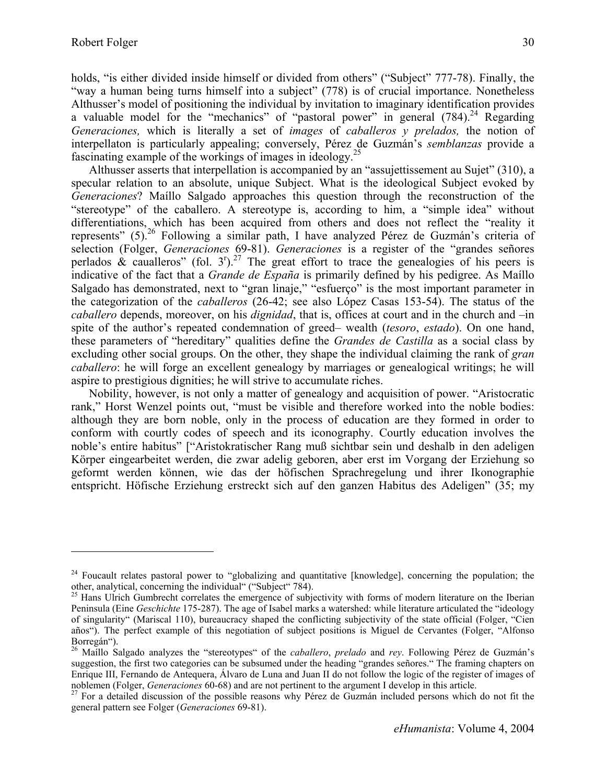holds, "is either divided inside himself or divided from others" ("Subject" 777-78). Finally, the "way a human being turns himself into a subject" (778) is of crucial importance. Nonetheless Althusser's model of positioning the individual by invitation to imaginary identification provides a valuable model for the "mechanics" of "pastoral power" in general  $(784)$ <sup>24</sup> Regarding *Generaciones,* which is literally a set of *images* of *caballeros y prelados,* the notion of interpellaton is particularly appealing; conversely, Pérez de Guzmán's *semblanzas* provide a fascinating example of the workings of images in ideology.25

Althusser asserts that interpellation is accompanied by an "assujettissement au Sujet" (310), a specular relation to an absolute, unique Subject. What is the ideological Subject evoked by *Generaciones*? Maíllo Salgado approaches this question through the reconstruction of the "stereotype" of the caballero. A stereotype is, according to him, a "simple idea" without differentiations, which has been acquired from others and does not reflect the "reality it represents" (5).<sup>26</sup> Following a similar path, I have analyzed Pérez de Guzmán's criteria of selection (Folger, *Generaciones* 69-81). *Generaciones* is a register of the "grandes señores perlados  $\&$  caualleros" (fol. 3<sup>r</sup>).<sup>27</sup> The great effort to trace the genealogies of his peers is indicative of the fact that a *Grande de España* is primarily defined by his pedigree. As Maíllo Salgado has demonstrated, next to "gran linaje," "esfuerço" is the most important parameter in the categorization of the *caballeros* (26-42; see also López Casas 153-54). The status of the *caballero* depends, moreover, on his *dignidad*, that is, offices at court and in the church and –in spite of the author's repeated condemnation of greed– wealth (*tesoro*, *estado*). On one hand, these parameters of "hereditary" qualities define the *Grandes de Castilla* as a social class by excluding other social groups. On the other, they shape the individual claiming the rank of *gran caballero*: he will forge an excellent genealogy by marriages or genealogical writings; he will aspire to prestigious dignities; he will strive to accumulate riches.

Nobility, however, is not only a matter of genealogy and acquisition of power. "Aristocratic rank," Horst Wenzel points out, "must be visible and therefore worked into the noble bodies: although they are born noble, only in the process of education are they formed in order to conform with courtly codes of speech and its iconography. Courtly education involves the noble's entire habitus" ["Aristokratischer Rang muß sichtbar sein und deshalb in den adeligen Körper eingearbeitet werden, die zwar adelig geboren, aber erst im Vorgang der Erziehung so geformt werden können, wie das der höfischen Sprachregelung und ihrer Ikonographie entspricht. Höfische Erziehung erstreckt sich auf den ganzen Habitus des Adeligen" (35; my

<sup>&</sup>lt;sup>24</sup> Foucault relates pastoral power to "globalizing and quantitative [knowledge], concerning the population; the other, analytical, concerning the individual" ("Subject" 784).

<sup>&</sup>lt;sup>25</sup> Hans Ulrich Gumbrecht correlates the emergence of subjectivity with forms of modern literature on the Iberian Peninsula (Eine *Geschichte* 175-287). The age of Isabel marks a watershed: while literature articulated the "ideology of singularity" (Mariscal 110), bureaucracy shaped the conflicting subjectivity of the state official (Folger, "Cien años"). The perfect example of this negotiation of subject positions is Miguel de Cervantes (Folger, "Alfonso Borregán").

<sup>26</sup> Maíllo Salgado analyzes the "stereotypes" of the *caballero*, *prelado* and *rey*. Following Pérez de Guzmán's suggestion, the first two categories can be subsumed under the heading "grandes señores." The framing chapters on Enrique III, Fernando de Antequera, Álvaro de Luna and Juan II do not follow the logic of the register of images of noblemen (Folger, *Generaciones* 60-68) and are not pertinent to the argument I develop in this article.<br><sup>27</sup> For a detailed discussion of the possible reasons why Pérez de Guzmán included persons which do not fit the

general pattern see Folger (*Generaciones* 69-81).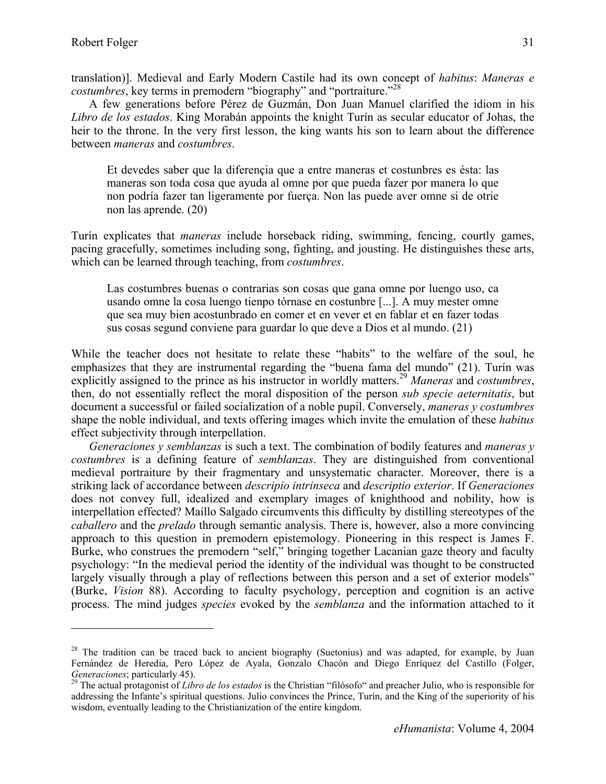1

A few generations before Pérez de Guzmán, Don Juan Manuel clarified the idiom in his *Libro de los estados*. King Morabán appoints the knight Turín as secular educator of Johas, the heir to the throne. In the very first lesson, the king wants his son to learn about the difference between *maneras* and *costumbres*.

Et devedes saber que la diferençia que a entre maneras et costunbres es ésta: las maneras son toda cosa que ayuda al omne por que pueda fazer por manera lo que non podría fazer tan ligeramente por fuerça. Non las puede aver omne si de otrie non las aprende. (20)

Turín explicates that *maneras* include horseback riding, swimming, fencing, courtly games, pacing gracefully, sometimes including song, fighting, and jousting. He distinguishes these arts, which can be learned through teaching, from *costumbres*.

Las costumbres buenas o contrarias son cosas que gana omne por luengo uso, ca usando omne la cosa luengo tienpo tórnase en costunbre [...]. A muy mester omne que sea muy bien acostunbrado en comer et en vever et en fablar et en fazer todas sus cosas segund conviene para guardar lo que deve a Dios et al mundo. (21)

While the teacher does not hesitate to relate these "habits" to the welfare of the soul, he emphasizes that they are instrumental regarding the "buena fama del mundo" (21). Turín was explicitly assigned to the prince as his instructor in worldly matters.29 *Maneras* and *costumbres*, then, do not essentially reflect the moral disposition of the person *sub specie aeternitatis*, but document a successful or failed socialization of a noble pupil. Conversely, *maneras y costumbres* shape the noble individual, and texts offering images which invite the emulation of these *habitus* effect subjectivity through interpellation.

*Generaciones y semblanzas* is such a text. The combination of bodily features and *maneras y costumbres* is a defining feature of *semblanzas*. They are distinguished from conventional medieval portraiture by their fragmentary and unsystematic character. Moreover, there is a striking lack of accordance between *descripio intrinseca* and *descriptio exterior*. If *Generaciones* does not convey full, idealized and exemplary images of knighthood and nobility, how is interpellation effected? Maíllo Salgado circumvents this difficulty by distilling stereotypes of the *caballero* and the *prelado* through semantic analysis. There is, however, also a more convincing approach to this question in premodern epistemology. Pioneering in this respect is James F. Burke, who construes the premodern "self," bringing together Lacanian gaze theory and faculty psychology: "In the medieval period the identity of the individual was thought to be constructed largely visually through a play of reflections between this person and a set of exterior models" (Burke, *Vision* 88). According to faculty psychology, perception and cognition is an active process. The mind judges *species* evoked by the *semblanza* and the information attached to it

<sup>&</sup>lt;sup>28</sup> The tradition can be traced back to ancient biography (Suetonius) and was adapted, for example, by Juan Fernández de Heredia, Pero López de Ayala, Gonzalo Chacón and Diego Enríquez del Castillo (Folger, *Generaciones*; particularly 45).<br><sup>29</sup> The actual protagonist of *Libro de los estados* is the Christian "filósofo" and preacher Julio, who is responsible for

addressing the Infante's spiritual questions. Julio convinces the Prince, Turín, and the King of the superiority of his wisdom, eventually leading to the Christianization of the entire kingdom.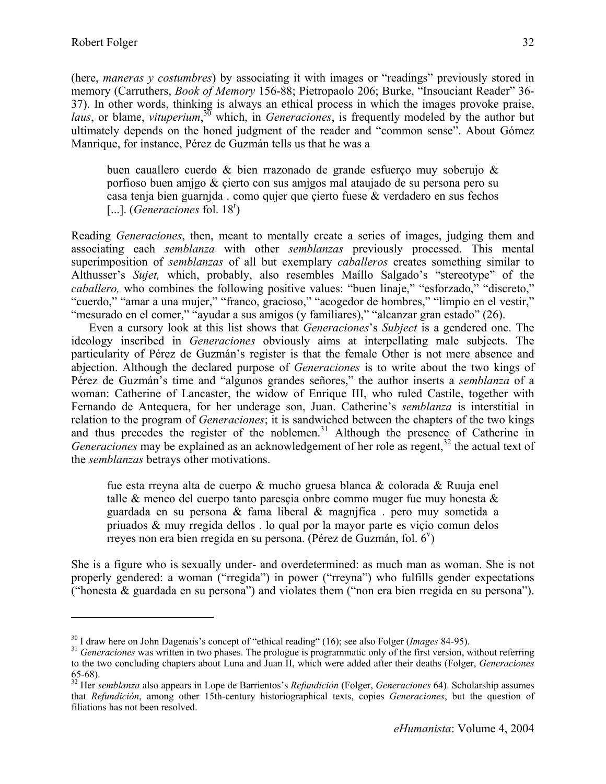(here, *maneras y costumbres*) by associating it with images or "readings" previously stored in memory (Carruthers, *Book of Memory* 156-88; Pietropaolo 206; Burke, "Insouciant Reader" 36- 37). In other words, thinking is always an ethical process in which the images provoke praise, *laus*, or blame, *vituperium*, 30 which, in *Generaciones*, is frequently modeled by the author but ultimately depends on the honed judgment of the reader and "common sense". About Gómez Manrique, for instance, Pérez de Guzmán tells us that he was a

buen cauallero cuerdo & bien rrazonado de grande esfuerço muy soberujo & porfioso buen amjgo & çierto con sus amjgos mal ataujado de su persona pero su casa tenja bien guarnjda . como qujer que çierto fuese & verdadero en sus fechos [...]. (*Generaciones* fol. 18<sup>r</sup>)

Reading *Generaciones*, then, meant to mentally create a series of images, judging them and associating each *semblanza* with other *semblanzas* previously processed. This mental superimposition of *semblanzas* of all but exemplary *caballeros* creates something similar to Althusser's *Sujet,* which, probably, also resembles Maíllo Salgado's "stereotype" of the *caballero,* who combines the following positive values: "buen linaje," "esforzado," "discreto," "cuerdo," "amar a una mujer," "franco, gracioso," "acogedor de hombres," "limpio en el vestir," "mesurado en el comer," "ayudar a sus amigos (y familiares)," "alcanzar gran estado" (26).

Even a cursory look at this list shows that *Generaciones*'s *Subject* is a gendered one. The ideology inscribed in *Generaciones* obviously aims at interpellating male subjects. The particularity of Pérez de Guzmán's register is that the female Other is not mere absence and abjection. Although the declared purpose of *Generaciones* is to write about the two kings of Pérez de Guzmán's time and "algunos grandes señores," the author inserts a *semblanza* of a woman: Catherine of Lancaster, the widow of Enrique III, who ruled Castile, together with Fernando de Antequera, for her underage son, Juan. Catherine's *semblanza* is interstitial in relation to the program of *Generaciones*; it is sandwiched between the chapters of the two kings and thus precedes the register of the noblemen.<sup>31</sup> Although the presence of Catherine in *Generaciones* may be explained as an acknowledgement of her role as regent,<sup>32</sup> the actual text of the *semblanzas* betrays other motivations.

fue esta rreyna alta de cuerpo & mucho gruesa blanca & colorada & Ruuja enel talle & meneo del cuerpo tanto paresçia onbre commo muger fue muy honesta & guardada en su persona & fama liberal & magnjfica . pero muy sometida a priuados & muy rregida dellos . lo qual por la mayor parte es viçio comun delos rreyes non era bien rregida en su persona. (Pérez de Guzmán, fol.  $6^{\nu}$ )

She is a figure who is sexually under- and overdetermined: as much man as woman. She is not properly gendered: a woman ("rregida") in power ("rreyna") who fulfills gender expectations ("honesta & guardada en su persona") and violates them ("non era bien rregida en su persona").

 $^{30}$  I draw here on John Dagenais's concept of "ethical reading" (16); see also Folger (*Images* 84-95).<br><sup>31</sup> Generaciones was written in two phases. The prologue is programmatic only of the first version, without refer

to the two concluding chapters about Luna and Juan II, which were added after their deaths (Folger, *Generaciones* 65-68).

<sup>32</sup> Her *semblanza* also appears in Lope de Barrientos's *Refundición* (Folger, *Generaciones* 64). Scholarship assumes that *Refundición*, among other 15th-century historiographical texts, copies *Generaciones*, but the question of filiations has not been resolved.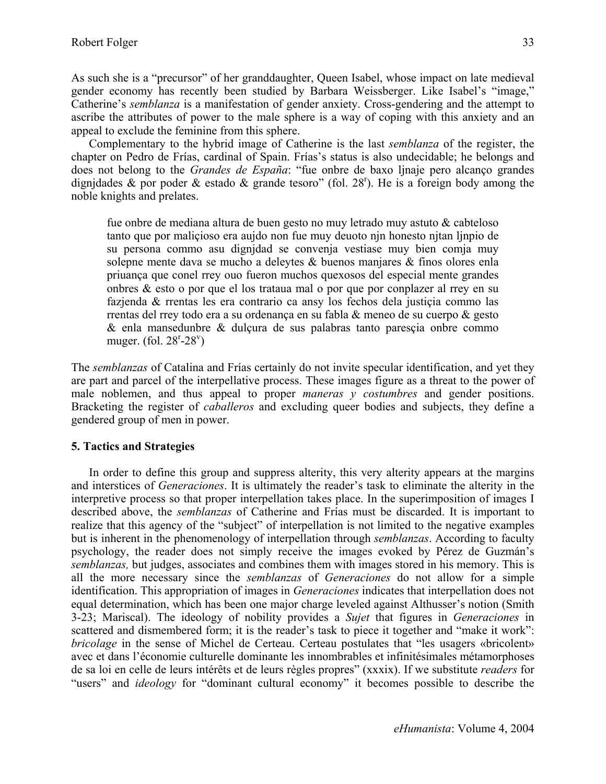As such she is a "precursor" of her granddaughter, Queen Isabel, whose impact on late medieval gender economy has recently been studied by Barbara Weissberger. Like Isabel's "image," Catherine's *semblanza* is a manifestation of gender anxiety. Cross-gendering and the attempt to ascribe the attributes of power to the male sphere is a way of coping with this anxiety and an appeal to exclude the feminine from this sphere.

Complementary to the hybrid image of Catherine is the last *semblanza* of the register, the chapter on Pedro de Frías, cardinal of Spain. Frías's status is also undecidable; he belongs and does not belong to the *Grandes de España*: "fue onbre de baxo ljnaje pero alcanço grandes dignjdades & por poder & estado & grande tesoro" (fol. 28<sup>r</sup>). He is a foreign body among the noble knights and prelates.

fue onbre de mediana altura de buen gesto no muy letrado muy astuto & cabteloso tanto que por maliçioso era aujdo non fue muy deuoto njn honesto njtan ljnpio de su persona commo asu dignjdad se convenja vestiase muy bien comja muy solepne mente dava se mucho a deleytes & buenos manjares & finos olores enla priuança que conel rrey ouo fueron muchos quexosos del especial mente grandes onbres & esto o por que el los trataua mal o por que por conplazer al rrey en su fazjenda & rrentas les era contrario ca ansy los fechos dela justiçia commo las rrentas del rrey todo era a su ordenança en su fabla & meneo de su cuerpo & gesto & enla mansedunbre & dulçura de sus palabras tanto paresçia onbre commo muger. (fol.  $28^{r} - 28^{v}$ )

The *semblanzas* of Catalina and Frías certainly do not invite specular identification, and yet they are part and parcel of the interpellative process. These images figure as a threat to the power of male noblemen, and thus appeal to proper *maneras y costumbres* and gender positions. Bracketing the register of *caballeros* and excluding queer bodies and subjects, they define a gendered group of men in power.

# **5. Tactics and Strategies**

In order to define this group and suppress alterity, this very alterity appears at the margins and interstices of *Generaciones*. It is ultimately the reader's task to eliminate the alterity in the interpretive process so that proper interpellation takes place. In the superimposition of images I described above, the *semblanzas* of Catherine and Frías must be discarded. It is important to realize that this agency of the "subject" of interpellation is not limited to the negative examples but is inherent in the phenomenology of interpellation through *semblanzas*. According to faculty psychology, the reader does not simply receive the images evoked by Pérez de Guzmán's *semblanzas,* but judges, associates and combines them with images stored in his memory. This is all the more necessary since the *semblanzas* of *Generaciones* do not allow for a simple identification. This appropriation of images in *Generaciones* indicates that interpellation does not equal determination, which has been one major charge leveled against Althusser's notion (Smith 3-23; Mariscal). The ideology of nobility provides a *Sujet* that figures in *Generaciones* in scattered and dismembered form; it is the reader's task to piece it together and "make it work": *bricolage* in the sense of Michel de Certeau. Certeau postulates that "les usagers «bricolent» avec et dans l'économie culturelle dominante les innombrables et infinitésimales métamorphoses de sa loi en celle de leurs intérêts et de leurs règles propres" (xxxix). If we substitute *readers* for "users" and *ideology* for "dominant cultural economy" it becomes possible to describe the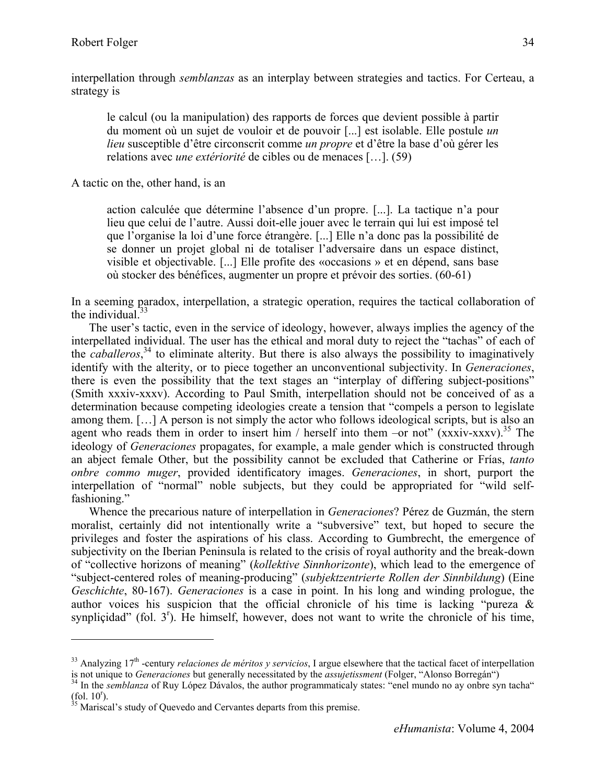interpellation through *semblanzas* as an interplay between strategies and tactics. For Certeau, a strategy is

le calcul (ou la manipulation) des rapports de forces que devient possible à partir du moment où un sujet de vouloir et de pouvoir [...] est isolable. Elle postule *un lieu* susceptible d'être circonscrit comme *un propre* et d'être la base d'où gérer les relations avec *une extériorité* de cibles ou de menaces […]. (59)

A tactic on the, other hand, is an

action calculée que détermine l'absence d'un propre. [...]. La tactique n'a pour lieu que celui de l'autre. Aussi doit-elle jouer avec le terrain qui lui est imposé tel que l'organise la loi d'une force étrangère. [...] Elle n'a donc pas la possibilité de se donner un projet global ni de totaliser l'adversaire dans un espace distinct, visible et objectivable. [...] Elle profite des «occasions » et en dépend, sans base où stocker des bénéfices, augmenter un propre et prévoir des sorties. (60-61)

In a seeming paradox, interpellation, a strategic operation, requires the tactical collaboration of the individual. $33$ 

The user's tactic, even in the service of ideology, however, always implies the agency of the interpellated individual. The user has the ethical and moral duty to reject the "tachas" of each of the *caballeros*, 34 to eliminate alterity. But there is also always the possibility to imaginatively identify with the alterity, or to piece together an unconventional subjectivity. In *Generaciones*, there is even the possibility that the text stages an "interplay of differing subject-positions" (Smith xxxiv-xxxv). According to Paul Smith, interpellation should not be conceived of as a determination because competing ideologies create a tension that "compels a person to legislate among them. […] A person is not simply the actor who follows ideological scripts, but is also an agent who reads them in order to insert him / herself into them –or not"  $(xxxiv-xxxv)^{35}$  The ideology of *Generaciones* propagates, for example, a male gender which is constructed through an abject female Other, but the possibility cannot be excluded that Catherine or Frías, *tanto onbre commo muger*, provided identificatory images. *Generaciones*, in short, purport the interpellation of "normal" noble subjects, but they could be appropriated for "wild selffashioning."

Whence the precarious nature of interpellation in *Generaciones*? Pérez de Guzmán, the stern moralist, certainly did not intentionally write a "subversive" text, but hoped to secure the privileges and foster the aspirations of his class. According to Gumbrecht, the emergence of subjectivity on the Iberian Peninsula is related to the crisis of royal authority and the break-down of "collective horizons of meaning" (*kollektive Sinnhorizonte*), which lead to the emergence of "subject-centered roles of meaning-producing" (*subjektzentrierte Rollen der Sinnbildung*) (Eine *Geschichte*, 80-167). *Generaciones* is a case in point. In his long and winding prologue, the author voices his suspicion that the official chronicle of his time is lacking "pureza & synplicidad" (fol.  $3<sup>r</sup>$ ). He himself, however, does not want to write the chronicle of his time,

 $33$  Analyzing  $17<sup>th</sup>$ -century *relaciones de méritos y servicios*, I argue elsewhere that the tactical facet of interpellation is not unique to *Generaciones* but generally necessitated by the *assujetissment* (Folger, "Alonso Borregán")<br><sup>34</sup> In the *semblanza* of Ruy López Dávalos, the author programmaticaly states: "enel mundo no ay onbre syn ta

 $(fol. 10<sup>r</sup>)$ .<br><sup>35</sup> Mariscal's study of Quevedo and Cervantes departs from this premise.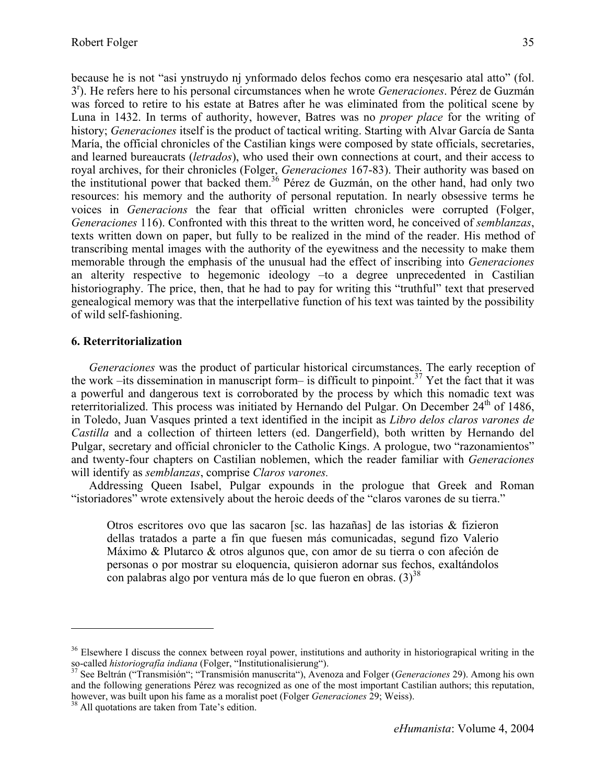because he is not "asi ynstruydo nj ynformado delos fechos como era nesçesario atal atto" (fol. 3r ). He refers here to his personal circumstances when he wrote *Generaciones*. Pérez de Guzmán was forced to retire to his estate at Batres after he was eliminated from the political scene by Luna in 1432. In terms of authority, however, Batres was no *proper place* for the writing of history; *Generaciones* itself is the product of tactical writing. Starting with Alvar García de Santa María, the official chronicles of the Castilian kings were composed by state officials, secretaries, and learned bureaucrats (*letrados*), who used their own connections at court, and their access to royal archives, for their chronicles (Folger, *Generaciones* 167-83). Their authority was based on the institutional power that backed them.<sup>36</sup> Pérez de Guzmán, on the other hand, had only two resources: his memory and the authority of personal reputation. In nearly obsessive terms he voices in *Generacions* the fear that official written chronicles were corrupted (Folger, *Generaciones* 116). Confronted with this threat to the written word, he conceived of *semblanzas*, texts written down on paper, but fully to be realized in the mind of the reader. His method of transcribing mental images with the authority of the eyewitness and the necessity to make them memorable through the emphasis of the unusual had the effect of inscribing into *Generaciones* an alterity respective to hegemonic ideology –to a degree unprecedented in Castilian historiography. The price, then, that he had to pay for writing this "truthful" text that preserved genealogical memory was that the interpellative function of his text was tainted by the possibility of wild self-fashioning.

## **6. Reterritorialization**

*Generaciones* was the product of particular historical circumstances. The early reception of the work –its dissemination in manuscript form– is difficult to pinpoint.<sup>37</sup> Yet the fact that it was a powerful and dangerous text is corroborated by the process by which this nomadic text was reterritorialized. This process was initiated by Hernando del Pulgar. On December  $24<sup>th</sup>$  of 1486, in Toledo, Juan Vasques printed a text identified in the incipit as *Libro delos claros varones de Castilla* and a collection of thirteen letters (ed. Dangerfield), both written by Hernando del Pulgar, secretary and official chronicler to the Catholic Kings. A prologue, two "razonamientos" and twenty-four chapters on Castilian noblemen, which the reader familiar with *Generaciones*  will identify as *semblanzas*, comprise *Claros varones.* 

Addressing Queen Isabel, Pulgar expounds in the prologue that Greek and Roman "istoriadores" wrote extensively about the heroic deeds of the "claros varones de su tierra."

Otros escritores ovo que las sacaron [sc. las hazañas] de las istorias & fizieron dellas tratados a parte a fin que fuesen más comunicadas, segund fizo Valerio Máximo & Plutarco & otros algunos que, con amor de su tierra o con afeción de personas o por mostrar su eloquencia, quisieron adornar sus fechos, exaltándolos con palabras algo por ventura más de lo que fueron en obras.  $(3)^{38}$ 

 $\overline{a}$ 

<sup>&</sup>lt;sup>36</sup> Elsewhere I discuss the connex between royal power, institutions and authority in historiograpical writing in the so-called *historiografía indiana* (Folger, "Institutionalisierung"). 37 See Beltrán ("Transmisión"; "Transmisión manuscrita"), Avenoza and Folger (*Generaciones* 29). Among his own

and the following generations Pérez was recognized as one of the most important Castilian authors; this reputation, however, was built upon his fame as a moralist poet (Folger *Generaciones* 29; Weiss). <sup>38</sup> All quotations are taken from Tate's edition.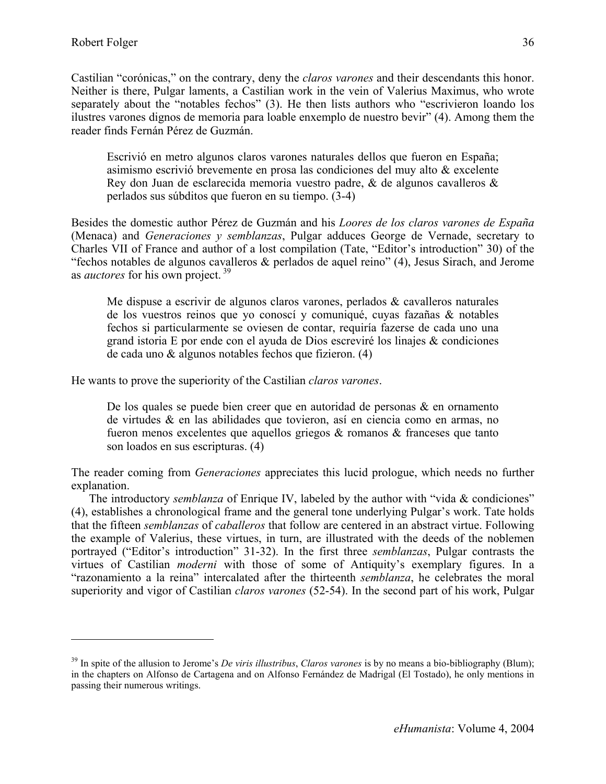Castilian "corónicas," on the contrary, deny the *claros varones* and their descendants this honor. Neither is there, Pulgar laments, a Castilian work in the vein of Valerius Maximus, who wrote separately about the "notables fechos" (3). He then lists authors who "escrivieron loando los ilustres varones dignos de memoria para loable enxemplo de nuestro bevir" (4). Among them the reader finds Fernán Pérez de Guzmán.

Escrivió en metro algunos claros varones naturales dellos que fueron en España; asimismo escrivió brevemente en prosa las condiciones del muy alto & excelente Rey don Juan de esclarecida memoria vuestro padre, & de algunos cavalleros & perlados sus súbditos que fueron en su tiempo. (3-4)

Besides the domestic author Pérez de Guzmán and his *Loores de los claros varones de España* (Menaca) and *Generaciones y semblanzas*, Pulgar adduces George de Vernade, secretary to Charles VII of France and author of a lost compilation (Tate, "Editor's introduction" 30) of the "fechos notables de algunos cavalleros  $\&$  perlados de aquel reino" (4), Jesus Sirach, and Jerome as *auctores* for his own project. 39

Me dispuse a escrivir de algunos claros varones, perlados & cavalleros naturales de los vuestros reinos que yo conoscí y comuniqué, cuyas fazañas & notables fechos si particularmente se oviesen de contar, requiría fazerse de cada uno una grand istoria E por ende con el ayuda de Dios escreviré los linajes & condiciones de cada uno & algunos notables fechos que fizieron. (4)

He wants to prove the superiority of the Castilian *claros varones*.

De los quales se puede bien creer que en autoridad de personas & en ornamento de virtudes & en las abilidades que tovieron, así en ciencia como en armas, no fueron menos excelentes que aquellos griegos & romanos & franceses que tanto son loados en sus escripturas. (4)

The reader coming from *Generaciones* appreciates this lucid prologue, which needs no further explanation.

The introductory *semblanza* of Enrique IV, labeled by the author with "vida & condiciones" (4), establishes a chronological frame and the general tone underlying Pulgar's work. Tate holds that the fifteen *semblanzas* of *caballeros* that follow are centered in an abstract virtue. Following the example of Valerius, these virtues, in turn, are illustrated with the deeds of the noblemen portrayed ("Editor's introduction" 31-32). In the first three *semblanzas*, Pulgar contrasts the virtues of Castilian *moderni* with those of some of Antiquity's exemplary figures. In a "razonamiento a la reina" intercalated after the thirteenth *semblanza*, he celebrates the moral superiority and vigor of Castilian *claros varones* (52-54). In the second part of his work, Pulgar

<sup>39</sup> In spite of the allusion to Jerome's *De viris illustribus*, *Claros varones* is by no means a bio-bibliography (Blum); in the chapters on Alfonso de Cartagena and on Alfonso Fernández de Madrigal (El Tostado), he only mentions in passing their numerous writings.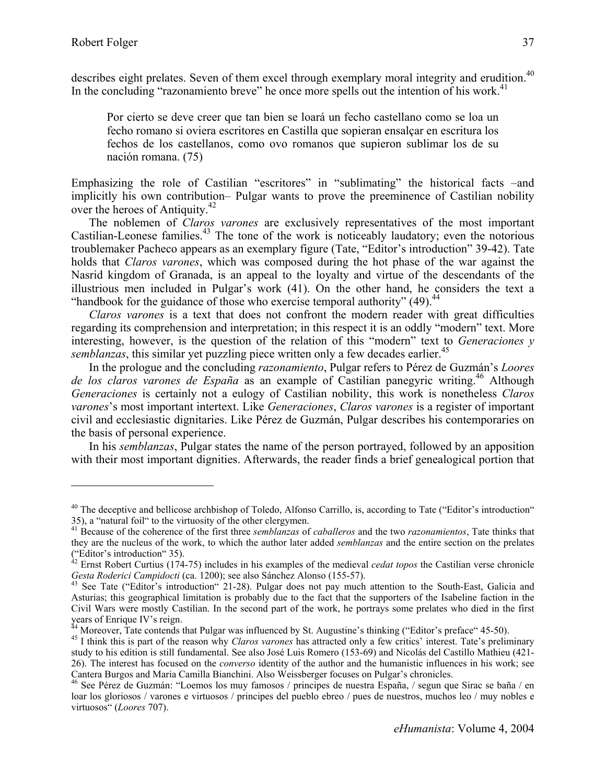describes eight prelates. Seven of them excel through exemplary moral integrity and erudition.<sup>40</sup> In the concluding "razonamiento breve" he once more spells out the intention of his work.<sup>41</sup>

Por cierto se deve creer que tan bien se loará un fecho castellano como se loa un fecho romano si oviera escritores en Castilla que sopieran ensalçar en escritura los fechos de los castellanos, como ovo romanos que supieron sublimar los de su nación romana. (75)

Emphasizing the role of Castilian "escritores" in "sublimating" the historical facts –and implicitly his own contribution– Pulgar wants to prove the preeminence of Castilian nobility over the heroes of Antiquity.<sup>42</sup>

The noblemen of *Claros varones* are exclusively representatives of the most important Castilian-Leonese families.<sup>43</sup> The tone of the work is noticeably laudatory; even the notorious troublemaker Pacheco appears as an exemplary figure (Tate, "Editor's introduction" 39-42). Tate holds that *Claros varones*, which was composed during the hot phase of the war against the Nasrid kingdom of Granada, is an appeal to the loyalty and virtue of the descendants of the illustrious men included in Pulgar's work (41). On the other hand, he considers the text a "handbook for the guidance of those who exercise temporal authority"  $(49)$ <sup>44</sup>

*Claros varones* is a text that does not confront the modern reader with great difficulties regarding its comprehension and interpretation; in this respect it is an oddly "modern" text. More interesting, however, is the question of the relation of this "modern" text to *Generaciones y semblanzas*, this similar yet puzzling piece written only a few decades earlier.<sup>45</sup>

In the prologue and the concluding *razonamiento*, Pulgar refers to Pérez de Guzmán's *Loores*  de los claros varones de España as an example of Castilian panegyric writing.<sup>46</sup> Although *Generaciones* is certainly not a eulogy of Castilian nobility, this work is nonetheless *Claros varones*'s most important intertext. Like *Generaciones*, *Claros varones* is a register of important civil and ecclesiastic dignitaries. Like Pérez de Guzmán, Pulgar describes his contemporaries on the basis of personal experience.

In his *semblanzas*, Pulgar states the name of the person portrayed, followed by an apposition with their most important dignities. Afterwards, the reader finds a brief genealogical portion that

 $40$  The deceptive and bellicose archbishop of Toledo, Alfonso Carrillo, is, according to Tate ("Editor's introduction" 35), a "natural foil" to the virtuosity of the other clergymen.

<sup>41</sup> Because of the coherence of the first three *semblanzas* of *caballeros* and the two *razonamientos*, Tate thinks that they are the nucleus of the work, to which the author later added *semblanzas* and the entire section on the prelates ("Editor's introduction" 35).

 $42$  Ernst Robert Curtius (174-75) includes in his examples of the medieval *cedat topos* the Castilian verse chronicle *Gesta Roderici Campidocti* (ca. 1200); see also Sánchez Alonso (155-57).<br><sup>43</sup> See Tate ("Editor's introduction" 21-28). Pulgar does not pay much attention to the South-East, Galicia and

Asturias; this geographical limitation is probably due to the fact that the supporters of the Isabeline faction in the Civil Wars were mostly Castilian. In the second part of the work, he portrays some prelates who died in the first years of Enrique IV's reign.<br><sup>44</sup> Moreover, Tate contends that Pulgar was influenced by St. Augustine's thinking ("Editor's preface" 45-50).

<sup>&</sup>lt;sup>45</sup> I think this is part of the reason why Claros varones has attracted only a few critics' interest. Tate's preliminary study to his edition is still fundamental. See also José Luis Romero (153-69) and Nicolás del Castillo Mathieu (421- 26). The interest has focused on the *converso* identity of the author and the humanistic influences in his work; see Cantera Burgos and Maria Camilla Bianchini. Also Weissberger focuses on Pulgar's chronicles.

<sup>46</sup> See Pérez de Guzmán: "Loemos los muy famosos / principes de nuestra España, / segun que Sirac se baña / en loar los gloriosos / varones e virtuosos / principes del pueblo ebreo / pues de nuestros, muchos leo / muy nobles e virtuosos" (*Loores* 707).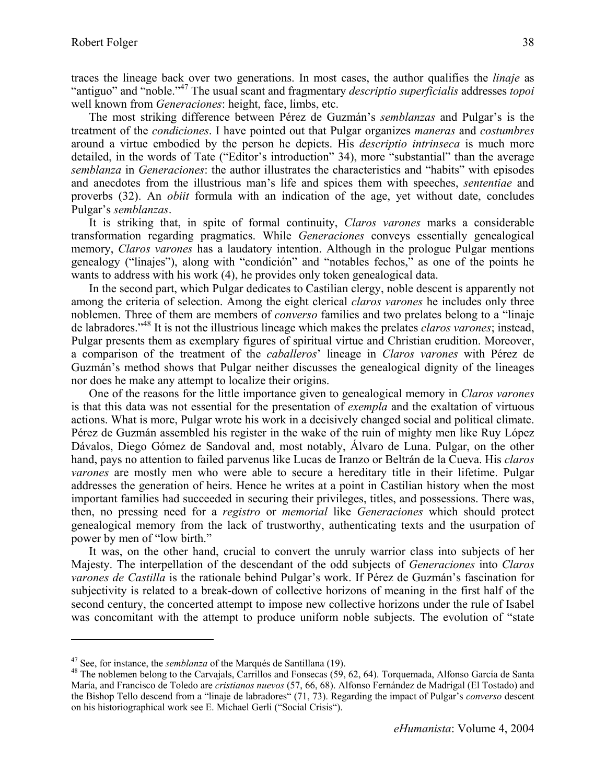traces the lineage back over two generations. In most cases, the author qualifies the *linaje* as "antiguo" and "noble."47 The usual scant and fragmentary *descriptio superficialis* addresses *topoi* well known from *Generaciones*: height, face, limbs, etc.

The most striking difference between Pérez de Guzmán's *semblanzas* and Pulgar's is the treatment of the *condiciones*. I have pointed out that Pulgar organizes *maneras* and *costumbres*  around a virtue embodied by the person he depicts. His *descriptio intrinseca* is much more detailed, in the words of Tate ("Editor's introduction" 34), more "substantial" than the average *semblanza* in *Generaciones*: the author illustrates the characteristics and "habits" with episodes and anecdotes from the illustrious man's life and spices them with speeches, *sententiae* and proverbs (32). An *obiit* formula with an indication of the age, yet without date, concludes Pulgar's *semblanzas*.

It is striking that, in spite of formal continuity, *Claros varones* marks a considerable transformation regarding pragmatics. While *Generaciones* conveys essentially genealogical memory, *Claros varones* has a laudatory intention. Although in the prologue Pulgar mentions genealogy ("linajes"), along with "condición" and "notables fechos," as one of the points he wants to address with his work (4), he provides only token genealogical data.

In the second part, which Pulgar dedicates to Castilian clergy, noble descent is apparently not among the criteria of selection. Among the eight clerical *claros varones* he includes only three noblemen. Three of them are members of *converso* families and two prelates belong to a "linaje de labradores."48 It is not the illustrious lineage which makes the prelates *claros varones*; instead, Pulgar presents them as exemplary figures of spiritual virtue and Christian erudition. Moreover, a comparison of the treatment of the *caballeros*' lineage in *Claros varones* with Pérez de Guzmán's method shows that Pulgar neither discusses the genealogical dignity of the lineages nor does he make any attempt to localize their origins.

One of the reasons for the little importance given to genealogical memory in *Claros varones* is that this data was not essential for the presentation of *exempla* and the exaltation of virtuous actions. What is more, Pulgar wrote his work in a decisively changed social and political climate. Pérez de Guzmán assembled his register in the wake of the ruin of mighty men like Ruy López Dávalos, Diego Gómez de Sandoval and, most notably, Álvaro de Luna. Pulgar, on the other hand, pays no attention to failed parvenus like Lucas de Iranzo or Beltrán de la Cueva. His *claros varones* are mostly men who were able to secure a hereditary title in their lifetime. Pulgar addresses the generation of heirs. Hence he writes at a point in Castilian history when the most important families had succeeded in securing their privileges, titles, and possessions. There was, then, no pressing need for a *registro* or *memorial* like *Generaciones* which should protect genealogical memory from the lack of trustworthy, authenticating texts and the usurpation of power by men of "low birth."

It was, on the other hand, crucial to convert the unruly warrior class into subjects of her Majesty. The interpellation of the descendant of the odd subjects of *Generaciones* into *Claros varones de Castilla* is the rationale behind Pulgar's work. If Pérez de Guzmán's fascination for subjectivity is related to a break-down of collective horizons of meaning in the first half of the second century, the concerted attempt to impose new collective horizons under the rule of Isabel was concomitant with the attempt to produce uniform noble subjects. The evolution of "state

1

<sup>&</sup>lt;sup>47</sup> See, for instance, the *semblanza* of the Marqués de Santillana (19).<br><sup>48</sup> The noblemen belong to the Carvajals, Carrillos and Fonsecas (59, 62, 64). Torquemada, Alfonso García de Santa María, and Francisco de Toledo are *cristianos nuevos* (57, 66, 68). Alfonso Fernández de Madrigal (El Tostado) and the Bishop Tello descend from a "linaje de labradores" (71, 73). Regarding the impact of Pulgar's *converso* descent on his historiographical work see E. Michael Gerli ("Social Crisis").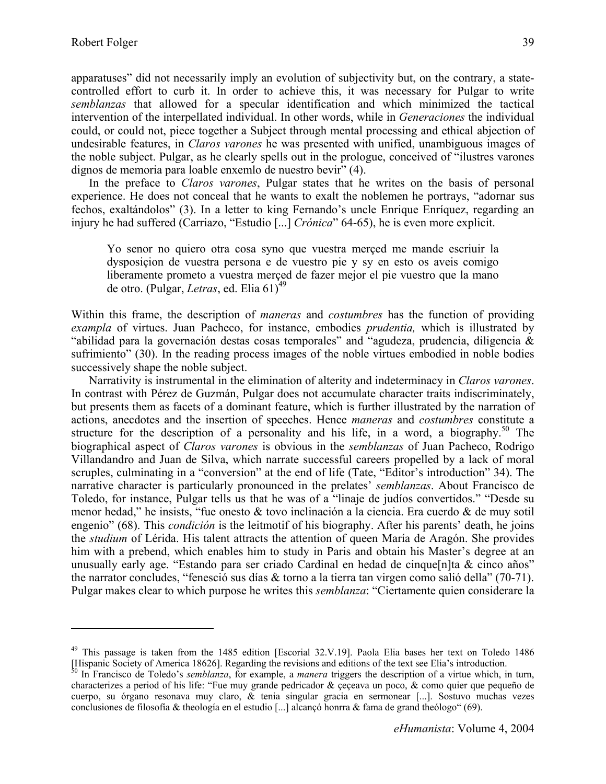1

apparatuses" did not necessarily imply an evolution of subjectivity but, on the contrary, a statecontrolled effort to curb it. In order to achieve this, it was necessary for Pulgar to write *semblanzas* that allowed for a specular identification and which minimized the tactical intervention of the interpellated individual. In other words, while in *Generaciones* the individual could, or could not, piece together a Subject through mental processing and ethical abjection of undesirable features, in *Claros varones* he was presented with unified, unambiguous images of the noble subject. Pulgar, as he clearly spells out in the prologue, conceived of "ilustres varones dignos de memoria para loable enxemlo de nuestro bevir" (4).

In the preface to *Claros varones*, Pulgar states that he writes on the basis of personal experience. He does not conceal that he wants to exalt the noblemen he portrays, "adornar sus fechos, exaltándolos" (3). In a letter to king Fernando's uncle Enrique Enríquez, regarding an injury he had suffered (Carriazo, "Estudio [...] *Crónica*" 64-65), he is even more explicit.

Yo senor no quiero otra cosa syno que vuestra merçed me mande escriuir la dysposiçion de vuestra persona e de vuestro pie y sy en esto os aveis comigo liberamente prometo a vuestra merçed de fazer mejor el pie vuestro que la mano de otro. (Pulgar, *Letras*, ed. Elia 61)<sup>49</sup>

Within this frame, the description of *maneras* and *costumbres* has the function of providing *exampla* of virtues. Juan Pacheco, for instance, embodies *prudentia,* which is illustrated by "abilidad para la governación destas cosas temporales" and "agudeza, prudencia, diligencia & sufrimiento" (30). In the reading process images of the noble virtues embodied in noble bodies successively shape the noble subject.

Narrativity is instrumental in the elimination of alterity and indeterminacy in *Claros varones*. In contrast with Pérez de Guzmán, Pulgar does not accumulate character traits indiscriminately, but presents them as facets of a dominant feature, which is further illustrated by the narration of actions, anecdotes and the insertion of speeches. Hence *maneras* and *costumbres* constitute a structure for the description of a personality and his life, in a word, a biography.<sup>50</sup> The biographical aspect of *Claros varones* is obvious in the *semblanzas* of Juan Pacheco, Rodrigo Villandandro and Juan de Silva, which narrate successful careers propelled by a lack of moral scruples, culminating in a "conversion" at the end of life (Tate, "Editor's introduction" 34). The narrative character is particularly pronounced in the prelates' *semblanzas*. About Francisco de Toledo, for instance, Pulgar tells us that he was of a "linaje de judíos convertidos." "Desde su menor hedad," he insists, "fue onesto & tovo inclinación a la ciencia. Era cuerdo & de muy sotil engenio" (68). This *condición* is the leitmotif of his biography. After his parents' death, he joins the *studium* of Lérida. His talent attracts the attention of queen María de Aragón. She provides him with a prebend, which enables him to study in Paris and obtain his Master's degree at an unusually early age. "Estando para ser criado Cardinal en hedad de cinque [n] ta & cinco años" the narrator concludes, "fenesció sus días & torno a la tierra tan virgen como salió della" (70-71). Pulgar makes clear to which purpose he writes this *semblanza*: "Ciertamente quien considerare la

<sup>&</sup>lt;sup>49</sup> This passage is taken from the 1485 edition [Escorial 32.V.19]. Paola Elia bases her text on Toledo 1486 [Hispanic Society of America 18626]. Regarding the revisions and editions of the text see Elia's introduction.<br><sup>50</sup> In Francisco de Toledo's *semblanza*, for example, a *manera* triggers the description of a virtue which,

characterizes a period of his life: "Fue muy grande pedricador & çeçeava un poco, & como quier que pequeño de cuerpo, su órgano resonava muy claro, & tenia singular gracia en sermonear [...]. Sostuvo muchas vezes conclusiones de filosofía & theología en el estudio [...] alcançó honrra & fama de grand theólogo" (69).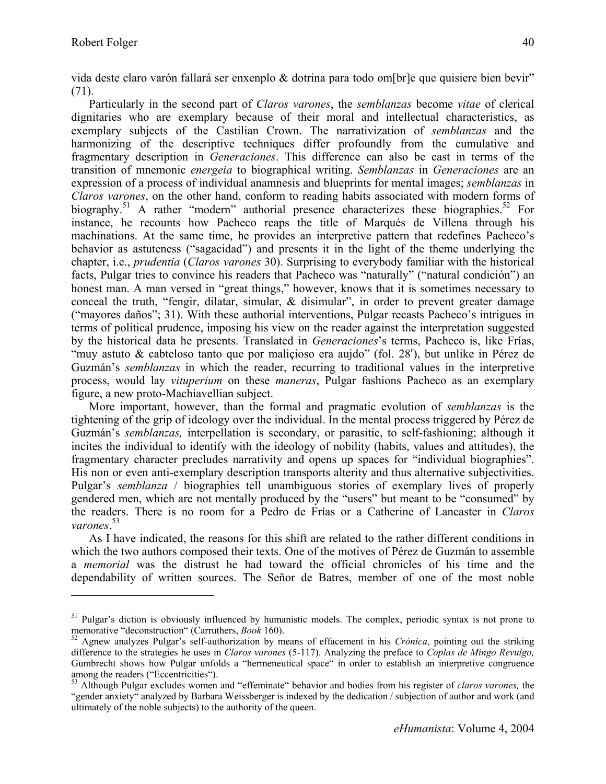vida deste claro varón fallará ser enxenplo & dotrina para todo om[br]e que quisiere bien bevir" (71).

Particularly in the second part of *Claros varones*, the *semblanzas* become *vitae* of clerical dignitaries who are exemplary because of their moral and intellectual characteristics, as exemplary subjects of the Castilian Crown. The narrativization of *semblanzas* and the harmonizing of the descriptive techniques differ profoundly from the cumulative and fragmentary description in *Generaciones*. This difference can also be cast in terms of the transition of mnemonic *energeia* to biographical writing. *Semblanzas* in *Generaciones* are an expression of a process of individual anamnesis and blueprints for mental images; *semblanzas* in *Claros varones*, on the other hand, conform to reading habits associated with modern forms of biography.<sup>51</sup> A rather "modern" authorial presence characterizes these biographies.<sup>52</sup> For instance, he recounts how Pacheco reaps the title of Marqués de Villena through his machinations. At the same time, he provides an interpretive pattern that redefines Pacheco's behavior as astuteness ("sagacidad") and presents it in the light of the theme underlying the chapter, i.e., *prudentia* (*Claros varones* 30). Surprising to everybody familiar with the historical facts, Pulgar tries to convince his readers that Pacheco was "naturally" ("natural condición") an honest man. A man versed in "great things," however, knows that it is sometimes necessary to conceal the truth, "fengir, dilatar, simular, & disimular", in order to prevent greater damage ("mayores daños"; 31). With these authorial interventions, Pulgar recasts Pacheco's intrigues in terms of political prudence, imposing his view on the reader against the interpretation suggested by the historical data he presents. Translated in *Generaciones*'s terms, Pacheco is, like Frías, "muy astuto & cabteloso tanto que por maliçioso era aujdo" (fol. 28<sup>r</sup>), but unlike in Pérez de Guzmán's *semblanzas* in which the reader, recurring to traditional values in the interpretive process, would lay *vituperium* on these *maneras*, Pulgar fashions Pacheco as an exemplary figure, a new proto-Machiavellian subject.

More important, however, than the formal and pragmatic evolution of *semblanzas* is the tightening of the grip of ideology over the individual. In the mental process triggered by Pérez de Guzmán's *semblanzas,* interpellation is secondary, or parasitic, to self-fashioning; although it incites the individual to identify with the ideology of nobility (habits, values and attitudes), the fragmentary character precludes narrativity and opens up spaces for "individual biographies". His non or even anti-exemplary description transports alterity and thus alternative subjectivities. Pulgar's *semblanza* / biographies tell unambiguous stories of exemplary lives of properly gendered men, which are not mentally produced by the "users" but meant to be "consumed" by the readers. There is no room for a Pedro de Frías or a Catherine of Lancaster in *Claros varones*. 53

As I have indicated, the reasons for this shift are related to the rather different conditions in which the two authors composed their texts. One of the motives of Pérez de Guzmán to assemble a *memorial* was the distrust he had toward the official chronicles of his time and the dependability of written sources. The Señor de Batres, member of one of the most noble

 $51$  Pulgar's diction is obviously influenced by humanistic models. The complex, periodic syntax is not prone to memorative "deconstruction" (Carruthers, *Book* 160).<br><sup>52</sup> Agnew analyzes Pulgar's self-authorization by means of effacement in his *Crónica*, pointing out the striking

difference to the strategies he uses in *Claros varones* (5-117). Analyzing the preface to *Coplas de Mingo Revulgo,*  Gumbrecht shows how Pulgar unfolds a "hermeneutical space" in order to establish an interpretive congruence among the readers ("Eccentricities").

<sup>53</sup> Although Pulgar excludes women and "effeminate" behavior and bodies from his register of *claros varones,* the "gender anxiety" analyzed by Barbara Weissberger is indexed by the dedication / subjection of author and work (and ultimately of the noble subjects) to the authority of the queen.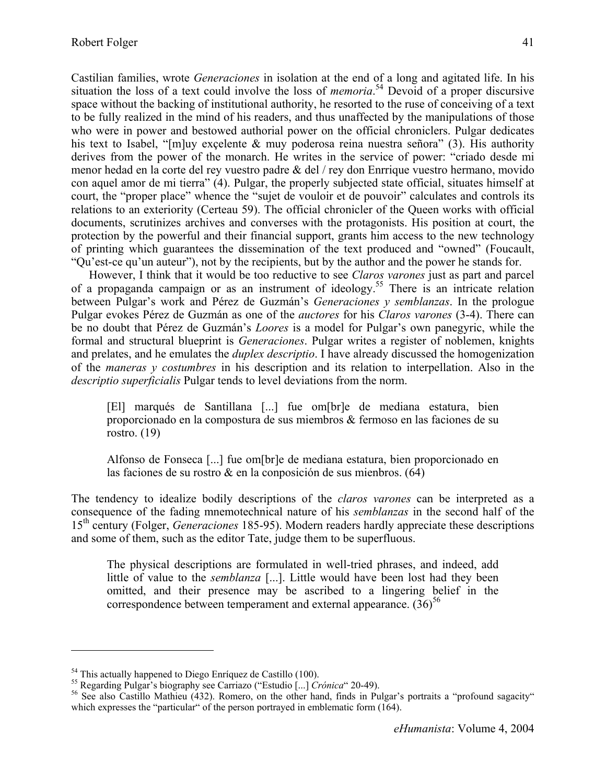Castilian families, wrote *Generaciones* in isolation at the end of a long and agitated life. In his situation the loss of a text could involve the loss of *memoria*. 54 Devoid of a proper discursive space without the backing of institutional authority, he resorted to the ruse of conceiving of a text to be fully realized in the mind of his readers, and thus unaffected by the manipulations of those who were in power and bestowed authorial power on the official chroniclers. Pulgar dedicates his text to Isabel, "[m]uy exçelente & muy poderosa reina nuestra señora" (3). His authority derives from the power of the monarch. He writes in the service of power: "criado desde mi menor hedad en la corte del rey vuestro padre & del / rey don Enrrique vuestro hermano, movido con aquel amor de mi tierra" (4). Pulgar, the properly subjected state official, situates himself at court, the "proper place" whence the "sujet de vouloir et de pouvoir" calculates and controls its relations to an exteriority (Certeau 59). The official chronicler of the Queen works with official documents, scrutinizes archives and converses with the protagonists. His position at court, the protection by the powerful and their financial support, grants him access to the new technology of printing which guarantees the dissemination of the text produced and "owned" (Foucault, "Qu'est-ce qu'un auteur"), not by the recipients, but by the author and the power he stands for.

However, I think that it would be too reductive to see *Claros varones* just as part and parcel of a propaganda campaign or as an instrument of ideology.<sup>55</sup> There is an intricate relation between Pulgar's work and Pérez de Guzmán's *Generaciones y semblanzas*. In the prologue Pulgar evokes Pérez de Guzmán as one of the *auctores* for his *Claros varones* (3-4). There can be no doubt that Pérez de Guzmán's *Loores* is a model for Pulgar's own panegyric, while the formal and structural blueprint is *Generaciones*. Pulgar writes a register of noblemen, knights and prelates, and he emulates the *duplex descriptio*. I have already discussed the homogenization of the *maneras y costumbres* in his description and its relation to interpellation. Also in the *descriptio superficialis* Pulgar tends to level deviations from the norm.

[El] marqués de Santillana [...] fue om[br]e de mediana estatura, bien proporcionado en la compostura de sus miembros & fermoso en las faciones de su rostro. (19)

Alfonso de Fonseca [...] fue om[br]e de mediana estatura, bien proporcionado en las faciones de su rostro & en la conposición de sus mienbros. (64)

The tendency to idealize bodily descriptions of the *claros varones* can be interpreted as a consequence of the fading mnemotechnical nature of his *semblanzas* in the second half of the 15th century (Folger, *Generaciones* 185-95). Modern readers hardly appreciate these descriptions and some of them, such as the editor Tate, judge them to be superfluous.

The physical descriptions are formulated in well-tried phrases, and indeed, add little of value to the *semblanza* [...]. Little would have been lost had they been omitted, and their presence may be ascribed to a lingering belief in the correspondence between temperament and external appearance.  $(36)^{56}$ 

 $\overline{a}$ 

<sup>&</sup>lt;sup>54</sup> This actually happened to Diego Enríquez de Castillo (100).<br><sup>55</sup> Regarding Pulgar's biography see Carriazo ("Estudio [...] *Crónica* (20-49).<br><sup>56</sup> See also Castillo Mathieu (432). Romero, on the other hand, finds in which expresses the "particular" of the person portrayed in emblematic form  $(164)$ .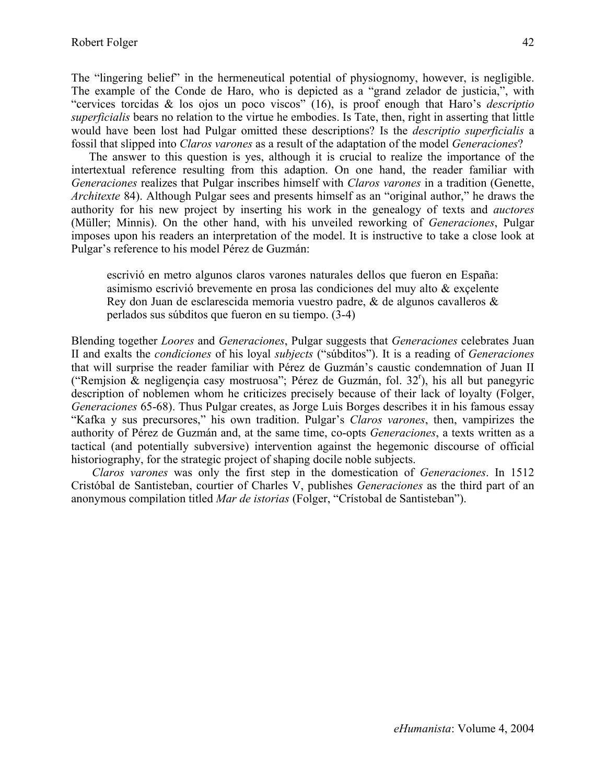The "lingering belief" in the hermeneutical potential of physiognomy, however, is negligible. The example of the Conde de Haro, who is depicted as a "grand zelador de justicia,", with "cervices torcidas & los ojos un poco viscos" (16), is proof enough that Haro's *descriptio superficialis* bears no relation to the virtue he embodies. Is Tate, then, right in asserting that little would have been lost had Pulgar omitted these descriptions? Is the *descriptio superficialis* a fossil that slipped into *Claros varones* as a result of the adaptation of the model *Generaciones*?

The answer to this question is yes, although it is crucial to realize the importance of the intertextual reference resulting from this adaption. On one hand, the reader familiar with *Generaciones* realizes that Pulgar inscribes himself with *Claros varones* in a tradition (Genette, *Architexte* 84). Although Pulgar sees and presents himself as an "original author," he draws the authority for his new project by inserting his work in the genealogy of texts and *auctores* (Müller; Minnis). On the other hand, with his unveiled reworking of *Generaciones*, Pulgar imposes upon his readers an interpretation of the model. It is instructive to take a close look at Pulgar's reference to his model Pérez de Guzmán:

escrivió en metro algunos claros varones naturales dellos que fueron en España: asimismo escrivió brevemente en prosa las condiciones del muy alto & exçelente Rey don Juan de esclarescida memoria vuestro padre, & de algunos cavalleros & perlados sus súbditos que fueron en su tiempo. (3-4)

Blending together *Loores* and *Generaciones*, Pulgar suggests that *Generaciones* celebrates Juan II and exalts the *condiciones* of his loyal *subjects* ("súbditos"). It is a reading of *Generaciones*  that will surprise the reader familiar with Pérez de Guzmán's caustic condemnation of Juan II ("Remjsion  $\&$  negligençia casy mostruosa"; Pérez de Guzmán, fol. 32<sup>r</sup>), his all but panegyric description of noblemen whom he criticizes precisely because of their lack of loyalty (Folger, *Generaciones* 65-68). Thus Pulgar creates, as Jorge Luis Borges describes it in his famous essay "Kafka y sus precursores," his own tradition. Pulgar's *Claros varones*, then, vampirizes the authority of Pérez de Guzmán and, at the same time, co-opts *Generaciones*, a texts written as a tactical (and potentially subversive) intervention against the hegemonic discourse of official historiography, for the strategic project of shaping docile noble subjects.

 *Claros varones* was only the first step in the domestication of *Generaciones*. In 1512 Cristóbal de Santisteban, courtier of Charles V, publishes *Generaciones* as the third part of an anonymous compilation titled *Mar de istorias* (Folger, "Crístobal de Santisteban").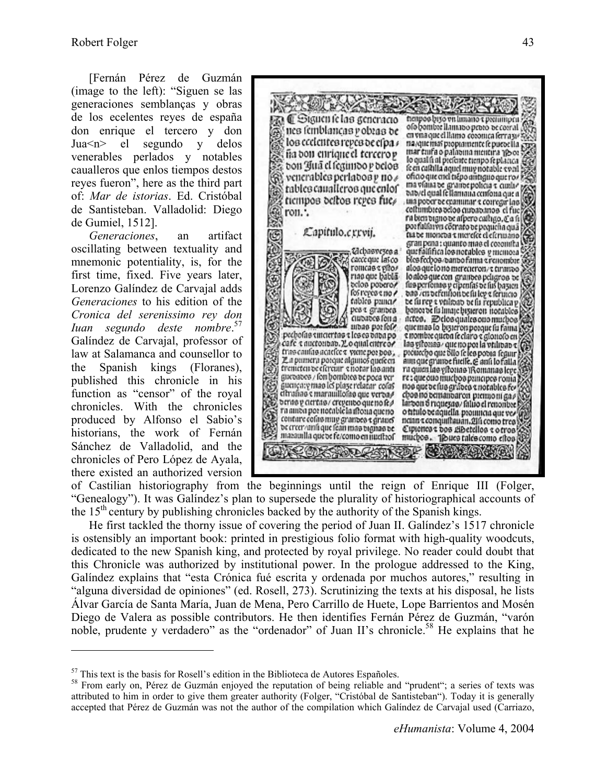[Fernán Pérez de Guzmán (image to the left): "Siguen se las generaciones semblanças y obras de los ecelentes reyes de españa don enrique el tercero y don Jua<n> el segundo y delos venerables perlados y notables caualleros que enlos tiempos destos reyes fueron", here as the third part of: *Mar de istorias*. Ed. Cristóbal de Santisteban. Valladolid: Diego de Gumiel, 1512].

*Generaciones*, an artifact oscillating between textuality and mnemonic potentiality, is, for the first time, fixed. Five years later, Lorenzo Galíndez de Carvajal adds *Generaciones* to his edition of the *Cronica del serenissimo rey don Iuan segundo deste nombre*. 57 Galíndez de Carvajal, professor of law at Salamanca and counsellor to the Spanish kings (Floranes), published this chronicle in his function as "censor" of the royal chronicles. With the chronicles produced by Alfonso el Sabio's historians, the work of Fernán Sánchez de Valladolid, and the chronicles of Pero López de Ayala, there existed an authorized version

 $\overline{a}$ 



of Castilian historiography from the beginnings until the reign of Enrique III (Folger, "Genealogy"). It was Galíndez's plan to supersede the plurality of historiographical accounts of the  $15<sup>th</sup>$  century by publishing chronicles backed by the authority of the Spanish kings.

He first tackled the thorny issue of covering the period of Juan II. Galíndez's 1517 chronicle is ostensibly an important book: printed in prestigious folio format with high-quality woodcuts, dedicated to the new Spanish king, and protected by royal privilege. No reader could doubt that this Chronicle was authorized by institutional power. In the prologue addressed to the King, Galíndez explains that "esta Crónica fué escrita y ordenada por muchos autores," resulting in "alguna diversidad de opiniones" (ed. Rosell, 273). Scrutinizing the texts at his disposal, he lists Álvar García de Santa María, Juan de Mena, Pero Carrillo de Huete, Lope Barrientos and Mosén Diego de Valera as possible contributors. He then identifies Fernán Pérez de Guzmán, "varón noble, prudente y verdadero" as the "ordenador" of Juan II's chronicle.<sup>58</sup> He explains that he

<sup>&</sup>lt;sup>57</sup> This text is the basis for Rosell's edition in the Biblioteca de Autores Españoles.<br><sup>58</sup> From early on, Pérez de Guzmán enjoyed the reputation of being reliable and "prudent"; a series of texts was attributed to him in order to give them greater authority (Folger, "Cristóbal de Santisteban"). Today it is generally accepted that Pérez de Guzmán was not the author of the compilation which Galíndez de Carvajal used (Carriazo,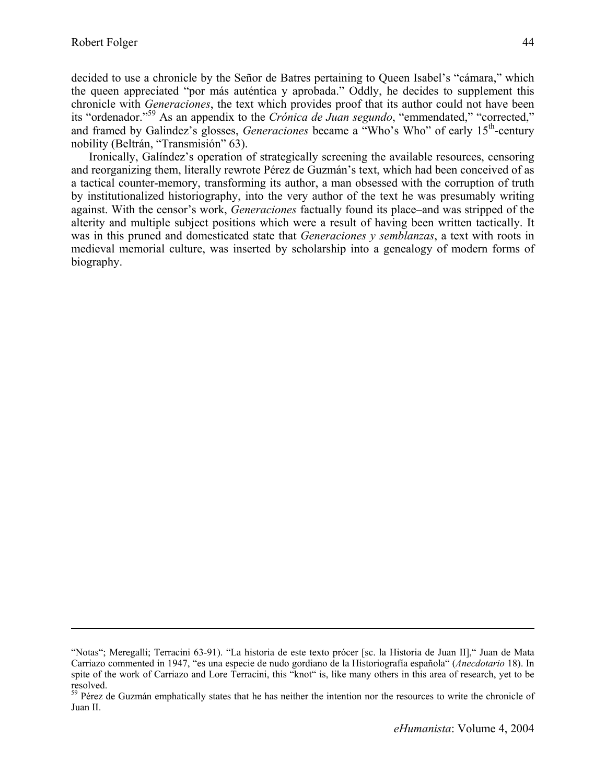decided to use a chronicle by the Señor de Batres pertaining to Queen Isabel's "cámara," which the queen appreciated "por más auténtica y aprobada." Oddly, he decides to supplement this chronicle with *Generaciones*, the text which provides proof that its author could not have been its "ordenador."59 As an appendix to the *Crónica de Juan segundo*, "emmendated," "corrected," and framed by Galindez's glosses, *Generaciones* became a "Who's Who" of early 15<sup>th</sup>-century nobility (Beltrán, "Transmisión" 63).

Ironically, Galíndez's operation of strategically screening the available resources, censoring and reorganizing them, literally rewrote Pérez de Guzmán's text, which had been conceived of as a tactical counter-memory, transforming its author, a man obsessed with the corruption of truth by institutionalized historiography, into the very author of the text he was presumably writing against. With the censor's work, *Generaciones* factually found its place–and was stripped of the alterity and multiple subject positions which were a result of having been written tactically. It was in this pruned and domesticated state that *Generaciones y semblanzas*, a text with roots in medieval memorial culture, was inserted by scholarship into a genealogy of modern forms of biography.

<sup>&</sup>quot;Notas"; Meregalli; Terracini 63-91). "La historia de este texto prócer [sc. la Historia de Juan II]," Juan de Mata Carriazo commented in 1947, "es una especie de nudo gordiano de la Historiografía española" (*Anecdotario* 18). In spite of the work of Carriazo and Lore Terracini, this "knot" is, like many others in this area of research, yet to be resolved.

<sup>&</sup>lt;sup>59</sup> Pérez de Guzmán emphatically states that he has neither the intention nor the resources to write the chronicle of Juan II.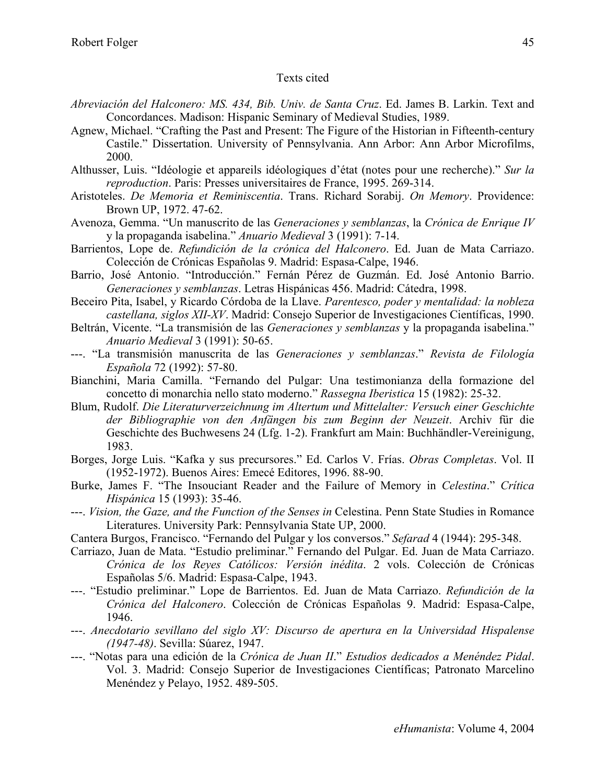#### Texts cited

- *Abreviación del Halconero: MS. 434, Bib. Univ. de Santa Cruz*. Ed. James B. Larkin. Text and Concordances. Madison: Hispanic Seminary of Medieval Studies, 1989.
- Agnew, Michael. "Crafting the Past and Present: The Figure of the Historian in Fifteenth-century Castile." Dissertation. University of Pennsylvania. Ann Arbor: Ann Arbor Microfilms, 2000.
- Althusser, Luis. "Idéologie et appareils idéologiques d'état (notes pour une recherche)." *Sur la reproduction*. Paris: Presses universitaires de France, 1995. 269-314.
- Aristoteles. *De Memoria et Reminiscentia*. Trans. Richard Sorabij. *On Memory*. Providence: Brown UP, 1972. 47-62.
- Avenoza, Gemma. "Un manuscrito de las *Generaciones y semblanzas*, la *Crónica de Enrique IV* y la propaganda isabelina." *Anuario Medieval* 3 (1991): 7-14.
- Barrientos, Lope de. *Refundición de la crónica del Halconero*. Ed. Juan de Mata Carriazo. Colección de Crónicas Españolas 9. Madrid: Espasa-Calpe, 1946.
- Barrio, José Antonio. "Introducción." Fernán Pérez de Guzmán. Ed. José Antonio Barrio. *Generaciones y semblanzas*. Letras Hispánicas 456. Madrid: Cátedra, 1998.
- Beceiro Pita, Isabel, y Ricardo Córdoba de la Llave. *Parentesco, poder y mentalidad: la nobleza castellana, siglos XII-XV*. Madrid: Consejo Superior de Investigaciones Científicas, 1990.
- Beltrán, Vicente. "La transmisión de las *Generaciones y semblanzas* y la propaganda isabelina." *Anuario Medieval* 3 (1991): 50-65.
- ---. "La transmisión manuscrita de las *Generaciones y semblanzas*." *Revista de Filología Española* 72 (1992): 57-80.
- Bianchini, Maria Camilla. "Fernando del Pulgar: Una testimonianza della formazione del concetto di monarchia nello stato moderno." *Rassegna Iberistica* 15 (1982): 25-32.
- Blum, Rudolf. *Die Literaturverzeichnung im Altertum und Mittelalter: Versuch einer Geschichte der Bibliographie von den Anfängen bis zum Beginn der Neuzeit*. Archiv für die Geschichte des Buchwesens 24 (Lfg. 1-2). Frankfurt am Main: Buchhändler-Vereinigung, 1983.
- Borges, Jorge Luis. "Kafka y sus precursores." Ed. Carlos V. Frías. *Obras Completas*. Vol. II (1952-1972). Buenos Aires: Emecé Editores, 1996. 88-90.
- Burke, James F. "The Insouciant Reader and the Failure of Memory in *Celestina*." *Crítica Hispánica* 15 (1993): 35-46.
- ---. *Vision, the Gaze, and the Function of the Senses in* Celestina. Penn State Studies in Romance Literatures. University Park: Pennsylvania State UP, 2000.
- Cantera Burgos, Francisco. "Fernando del Pulgar y los conversos." *Sefarad* 4 (1944): 295-348.
- Carriazo, Juan de Mata. "Estudio preliminar." Fernando del Pulgar. Ed. Juan de Mata Carriazo. *Crónica de los Reyes Católicos: Versión inédita*. 2 vols. Colección de Crónicas Españolas 5/6. Madrid: Espasa-Calpe, 1943.
- ---. "Estudio preliminar." Lope de Barrientos. Ed. Juan de Mata Carriazo. *Refundición de la Crónica del Halconero*. Colección de Crónicas Españolas 9. Madrid: Espasa-Calpe, 1946.
- ---. *Anecdotario sevillano del siglo XV: Discurso de apertura en la Universidad Hispalense (1947-48)*. Sevilla: Súarez, 1947.
- ---. "Notas para una edición de la *Crónica de Juan II*." *Estudios dedicados a Menéndez Pidal*. Vol. 3. Madrid: Consejo Superior de Investigaciones Científicas; Patronato Marcelino Menéndez y Pelayo, 1952. 489-505.

45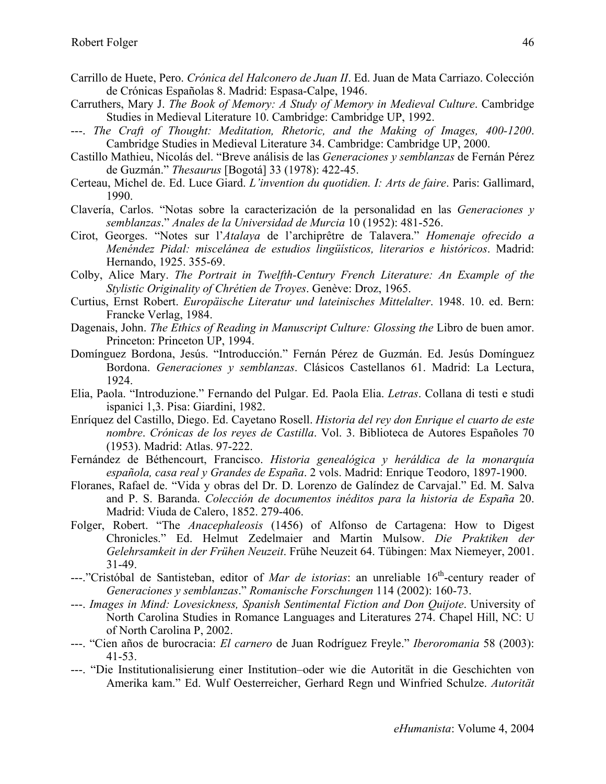- Carrillo de Huete, Pero. *Crónica del Halconero de Juan II*. Ed. Juan de Mata Carriazo. Colección de Crónicas Españolas 8. Madrid: Espasa-Calpe, 1946.
- Carruthers, Mary J. *The Book of Memory: A Study of Memory in Medieval Culture*. Cambridge Studies in Medieval Literature 10. Cambridge: Cambridge UP, 1992.
- ---. *The Craft of Thought: Meditation, Rhetoric, and the Making of Images, 400-1200*. Cambridge Studies in Medieval Literature 34. Cambridge: Cambridge UP, 2000.
- Castillo Mathieu, Nicolás del. "Breve análisis de las *Generaciones y semblanzas* de Fernán Pérez de Guzmán." *Thesaurus* [Bogotá] 33 (1978): 422-45.
- Certeau, Michel de. Ed. Luce Giard. *L'invention du quotidien. I: Arts de faire*. Paris: Gallimard, 1990.
- Clavería, Carlos. "Notas sobre la caracterización de la personalidad en las *Generaciones y semblanzas*." *Anales de la Universidad de Murcia* 10 (1952): 481-526.
- Cirot, Georges. "Notes sur l'*Atalaya* de l'archiprêtre de Talavera." *Homenaje ofrecido a Menéndez Pidal: miscelánea de estudios lingüísticos, literarios e históricos*. Madrid: Hernando, 1925. 355-69.
- Colby, Alice Mary. *The Portrait in Twelfth-Century French Literature: An Example of the Stylistic Originality of Chrétien de Troyes*. Genève: Droz, 1965.
- Curtius, Ernst Robert. *Europäische Literatur und lateinisches Mittelalter*. 1948. 10. ed. Bern: Francke Verlag, 1984.
- Dagenais, John. *The Ethics of Reading in Manuscript Culture: Glossing the* Libro de buen amor. Princeton: Princeton UP, 1994.
- Domínguez Bordona, Jesús. "Introducción." Fernán Pérez de Guzmán. Ed. Jesús Domínguez Bordona. *Generaciones y semblanzas*. Clásicos Castellanos 61. Madrid: La Lectura, 1924.
- Elia, Paola. "Introduzione." Fernando del Pulgar. Ed. Paola Elia. *Letras*. Collana di testi e studi ispanici 1,3. Pisa: Giardini, 1982.
- Enríquez del Castillo, Diego. Ed. Cayetano Rosell. *Historia del rey don Enrique el cuarto de este nombre*. *Crónicas de los reyes de Castilla*. Vol. 3. Biblioteca de Autores Españoles 70 (1953). Madrid: Atlas. 97-222.
- Fernández de Béthencourt, Francisco. *Historia genealógica y heráldica de la monarquía española, casa real y Grandes de España*. 2 vols. Madrid: Enrique Teodoro, 1897-1900.
- Floranes, Rafael de. "Vida y obras del Dr. D. Lorenzo de Galíndez de Carvajal." Ed. M. Salva and P. S. Baranda. *Colección de documentos inéditos para la historia de España* 20. Madrid: Viuda de Calero, 1852. 279-406.
- Folger, Robert. "The *Anacephaleosis* (1456) of Alfonso de Cartagena: How to Digest Chronicles." Ed. Helmut Zedelmaier and Martin Mulsow. *Die Praktiken der Gelehrsamkeit in der Frühen Neuzeit*. Frühe Neuzeit 64. Tübingen: Max Niemeyer, 2001. 31-49.
- ---."Cristóbal de Santisteban, editor of *Mar de istorias*: an unreliable 16<sup>th</sup>-century reader of *Generaciones y semblanzas*." *Romanische Forschungen* 114 (2002): 160-73.
- ---. *Images in Mind: Lovesickness, Spanish Sentimental Fiction and Don Quijote*. University of North Carolina Studies in Romance Languages and Literatures 274. Chapel Hill, NC: U of North Carolina P, 2002.
- ---. "Cien años de burocracia: *El carnero* de Juan Rodríguez Freyle." *Iberoromania* 58 (2003): 41-53.
- ---. "Die Institutionalisierung einer Institution–oder wie die Autorität in die Geschichten von Amerika kam." Ed. Wulf Oesterreicher, Gerhard Regn und Winfried Schulze. *Autorität*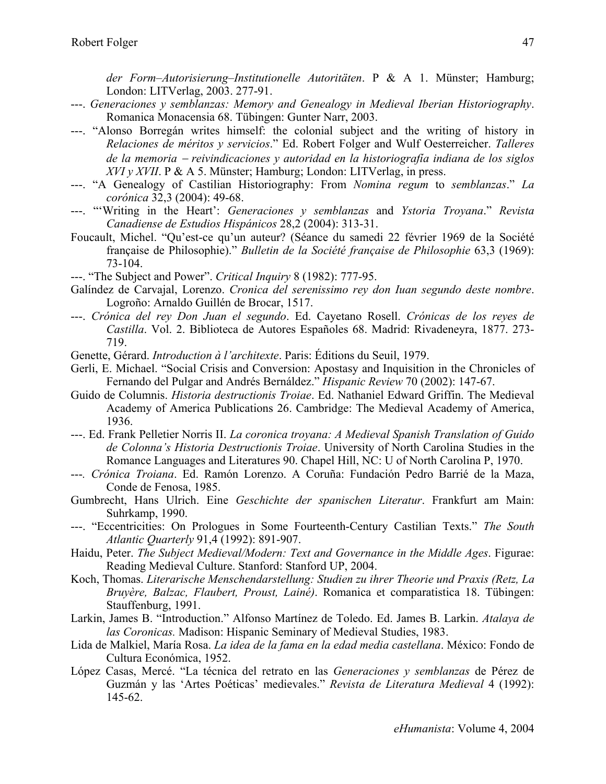*der Form–Autorisierung–Institutionelle Autoritäten*. P & A 1. Münster; Hamburg; London: LITVerlag, 2003. 277-91.

- ---. *Generaciones y semblanzas: Memory and Genealogy in Medieval Iberian Historiography*. Romanica Monacensia 68. Tübingen: Gunter Narr, 2003.
- ---. "Alonso Borregán writes himself: the colonial subject and the writing of history in *Relaciones de méritos y servicios*." Ed. Robert Folger and Wulf Oesterreicher. *Talleres de la memoria* − *reivindicaciones y autoridad en la historiografía indiana de los siglos XVI y XVII*. P & A 5. Münster; Hamburg; London: LITVerlag, in press.
- ---. "A Genealogy of Castilian Historiography: From *Nomina regum* to *semblanzas*." *La corónica* 32,3 (2004): 49-68.
- ---. "'Writing in the Heart': *Generaciones y semblanzas* and *Ystoria Troyana*." *Revista Canadiense de Estudios Hispánicos* 28,2 (2004): 313-31.
- Foucault, Michel. "Qu'est-ce qu'un auteur? (Séance du samedi 22 février 1969 de la Société française de Philosophie)." *Bulletin de la Société française de Philosophie* 63,3 (1969): 73-104.
- ---. "The Subject and Power". *Critical Inquiry* 8 (1982): 777-95.
- Galíndez de Carvajal, Lorenzo. *Cronica del serenissimo rey don Iuan segundo deste nombre*. Logroño: Arnaldo Guillén de Brocar, 1517.
- ---. *Crónica del rey Don Juan el segundo*. Ed. Cayetano Rosell. *Crónicas de los reyes de Castilla*. Vol. 2. Biblioteca de Autores Españoles 68. Madrid: Rivadeneyra, 1877. 273- 719.
- Genette, Gérard. *Introduction à l'architexte*. Paris: Éditions du Seuil, 1979.
- Gerli, E. Michael. "Social Crisis and Conversion: Apostasy and Inquisition in the Chronicles of Fernando del Pulgar and Andrés Bernáldez." *Hispanic Review* 70 (2002): 147-67.
- Guido de Columnis. *Historia destructionis Troiae*. Ed. Nathaniel Edward Griffin. The Medieval Academy of America Publications 26. Cambridge: The Medieval Academy of America, 1936.
- ---. Ed. Frank Pelletier Norris II. *La coronica troyana: A Medieval Spanish Translation of Guido de Colonna's Historia Destructionis Troiae*. University of North Carolina Studies in the Romance Languages and Literatures 90. Chapel Hill, NC: U of North Carolina P, 1970.
- ---*. Crónica Troiana*. Ed. Ramón Lorenzo. A Coruña: Fundación Pedro Barrié de la Maza, Conde de Fenosa, 1985.
- Gumbrecht, Hans Ulrich. Eine *Geschichte der spanischen Literatur*. Frankfurt am Main: Suhrkamp, 1990.
- ---. "Eccentricities: On Prologues in Some Fourteenth-Century Castilian Texts." *The South Atlantic Quarterly* 91,4 (1992): 891-907.
- Haidu, Peter. *The Subject Medieval/Modern: Text and Governance in the Middle Ages*. Figurae: Reading Medieval Culture. Stanford: Stanford UP, 2004.
- Koch, Thomas. *Literarische Menschendarstellung: Studien zu ihrer Theorie und Praxis (Retz, La Bruyère, Balzac, Flaubert, Proust, Lainé)*. Romanica et comparatistica 18. Tübingen: Stauffenburg, 1991.
- Larkin, James B. "Introduction." Alfonso Martínez de Toledo. Ed. James B. Larkin. *Atalaya de las Coronicas.* Madison: Hispanic Seminary of Medieval Studies, 1983.
- Lida de Malkiel, María Rosa. *La idea de la fama en la edad media castellana*. México: Fondo de Cultura Económica, 1952.
- López Casas, Mercé. "La técnica del retrato en las *Generaciones y semblanzas* de Pérez de Guzmán y las 'Artes Poéticas' medievales." *Revista de Literatura Medieval* 4 (1992): 145-62.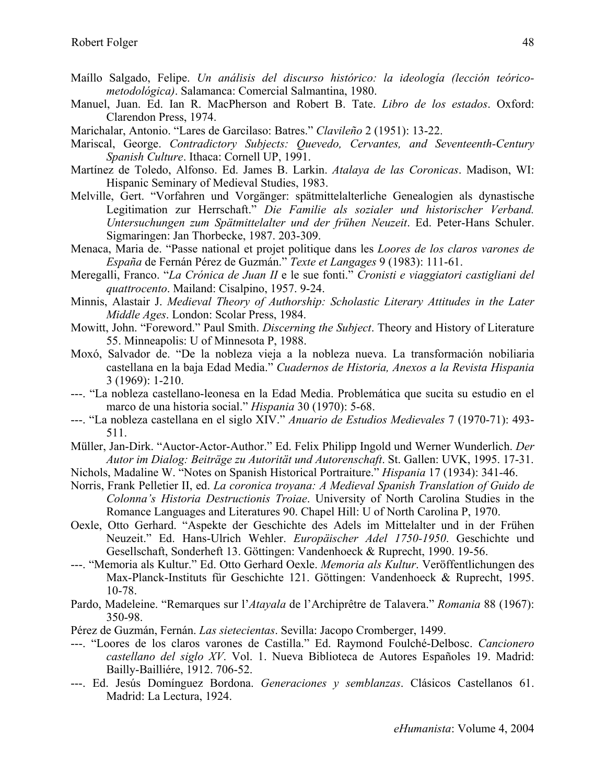- Maíllo Salgado, Felipe. *Un análisis del discurso histórico: la ideología (lección teóricometodológica)*. Salamanca: Comercial Salmantina, 1980.
- Manuel, Juan. Ed. Ian R. MacPherson and Robert B. Tate. *Libro de los estados*. Oxford: Clarendon Press, 1974.
- Marichalar, Antonio. "Lares de Garcilaso: Batres." *Clavileño* 2 (1951): 13-22.
- Mariscal, George. *Contradictory Subjects: Quevedo, Cervantes, and Seventeenth-Century Spanish Culture*. Ithaca: Cornell UP, 1991.
- Martínez de Toledo, Alfonso. Ed. James B. Larkin. *Atalaya de las Coronicas*. Madison, WI: Hispanic Seminary of Medieval Studies, 1983.
- Melville, Gert. "Vorfahren und Vorgänger: spätmittelalterliche Genealogien als dynastische Legitimation zur Herrschaft." *Die Familie als sozialer und historischer Verband. Untersuchungen zum Spätmittelalter und der frühen Neuzeit*. Ed. Peter-Hans Schuler. Sigmaringen: Jan Thorbecke, 1987. 203-309.
- Menaca, Maria de. "Passe national et projet politique dans les *Loores de los claros varones de España* de Fernán Pérez de Guzmán." *Texte et Langages* 9 (1983): 111-61.
- Meregalli, Franco. "*La Crónica de Juan II* e le sue fonti." *Cronisti e viaggiatori castigliani del quattrocento*. Mailand: Cisalpino, 1957. 9-24.
- Minnis, Alastair J. *Medieval Theory of Authorship: Scholastic Literary Attitudes in the Later Middle Ages*. London: Scolar Press, 1984.
- Mowitt, John. "Foreword." Paul Smith. *Discerning the Subject*. Theory and History of Literature 55. Minneapolis: U of Minnesota P, 1988.
- Moxó, Salvador de. "De la nobleza vieja a la nobleza nueva. La transformación nobiliaria castellana en la baja Edad Media." *Cuadernos de Historia, Anexos a la Revista Hispania* 3 (1969): 1-210.
- ---. "La nobleza castellano-leonesa en la Edad Media. Problemática que sucita su estudio en el marco de una historia social." *Hispania* 30 (1970): 5-68.
- ---. "La nobleza castellana en el siglo XIV." *Anuario de Estudios Medievales* 7 (1970-71): 493- 511.
- Müller, Jan-Dirk. "Auctor-Actor-Author." Ed. Felix Philipp Ingold und Werner Wunderlich. *Der Autor im Dialog: Beiträge zu Autorität und Autorenschaft*. St. Gallen: UVK, 1995. 17-31.
- Nichols, Madaline W. "Notes on Spanish Historical Portraiture." *Hispania* 17 (1934): 341-46.
- Norris, Frank Pelletier II, ed. *La coronica troyana: A Medieval Spanish Translation of Guido de Colonna's Historia Destructionis Troiae*. University of North Carolina Studies in the Romance Languages and Literatures 90. Chapel Hill: U of North Carolina P, 1970.
- Oexle, Otto Gerhard. "Aspekte der Geschichte des Adels im Mittelalter und in der Frühen Neuzeit." Ed. Hans-Ulrich Wehler. *Europäischer Adel 1750-1950*. Geschichte und Gesellschaft, Sonderheft 13. Göttingen: Vandenhoeck & Ruprecht, 1990. 19-56.
- ---. "Memoria als Kultur." Ed. Otto Gerhard Oexle. *Memoria als Kultur*. Veröffentlichungen des Max-Planck-Instituts für Geschichte 121. Göttingen: Vandenhoeck & Ruprecht, 1995. 10-78.
- Pardo, Madeleine. "Remarques sur l'*Atayala* de l'Archiprêtre de Talavera." *Romania* 88 (1967): 350-98.
- Pérez de Guzmán, Fernán. *Las sietecientas*. Sevilla: Jacopo Cromberger, 1499.
- ---. "Loores de los claros varones de Castilla." Ed. Raymond Foulché-Delbosc. *Cancionero castellano del siglo XV*. Vol. 1. Nueva Biblioteca de Autores Españoles 19. Madrid: Bailly-Bailliére, 1912. 706-52.
- ---. Ed. Jesús Domínguez Bordona. *Generaciones y semblanzas*. Clásicos Castellanos 61. Madrid: La Lectura, 1924.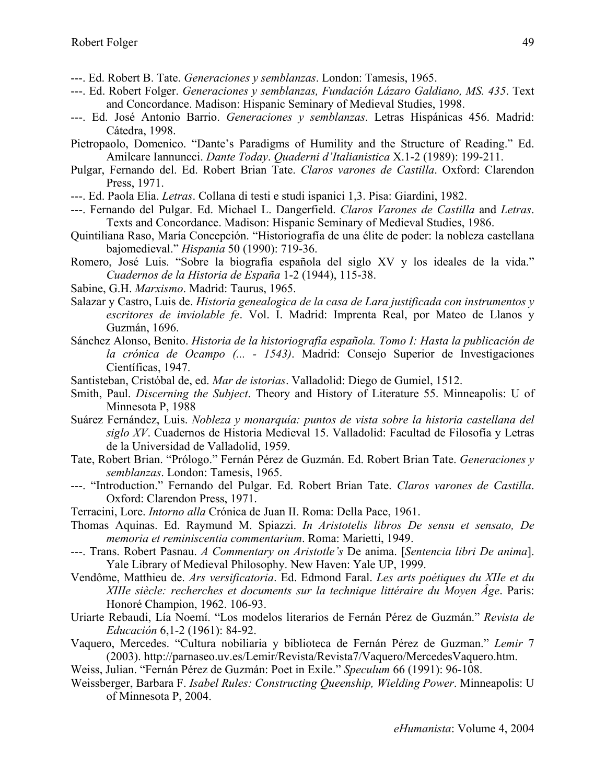- ---. Ed. Robert B. Tate. *Generaciones y semblanzas*. London: Tamesis, 1965.
- ---. Ed. Robert Folger. *Generaciones y semblanzas, Fundación Lázaro Galdiano, MS. 435*. Text and Concordance. Madison: Hispanic Seminary of Medieval Studies, 1998.
- ---. Ed. José Antonio Barrio. *Generaciones y semblanzas*. Letras Hispánicas 456. Madrid: Cátedra, 1998.
- Pietropaolo, Domenico. "Dante's Paradigms of Humility and the Structure of Reading." Ed. Amilcare Iannuncci. *Dante Today*. *Quaderni d'Italianistica* X.1-2 (1989): 199-211.
- Pulgar, Fernando del. Ed. Robert Brian Tate. *Claros varones de Castilla*. Oxford: Clarendon Press, 1971.
- ---. Ed. Paola Elia. *Letras*. Collana di testi e studi ispanici 1,3. Pisa: Giardini, 1982.
- ---. Fernando del Pulgar. Ed. Michael L. Dangerfield. *Claros Varones de Castilla* and *Letras*. Texts and Concordance. Madison: Hispanic Seminary of Medieval Studies, 1986.
- Quintiliana Raso, María Concepción. "Historiografía de una élite de poder: la nobleza castellana bajomedieval." *Hispania* 50 (1990): 719-36.
- Romero, José Luis. "Sobre la biografía española del siglo XV y los ideales de la vida." *Cuadernos de la Historia de España* 1-2 (1944), 115-38.
- Sabine, G.H. *Marxismo*. Madrid: Taurus, 1965.
- Salazar y Castro, Luis de. *Historia genealogica de la casa de Lara justificada con instrumentos y escritores de inviolable fe*. Vol. I. Madrid: Imprenta Real, por Mateo de Llanos y Guzmán, 1696.
- Sánchez Alonso, Benito. *Historia de la historiografía española. Tomo I: Hasta la publicación de la crónica de Ocampo (... - 1543)*. Madrid: Consejo Superior de Investigaciones Científicas, 1947.
- Santisteban, Cristóbal de, ed. *Mar de istorias*. Valladolid: Diego de Gumiel, 1512.
- Smith, Paul. *Discerning the Subject*. Theory and History of Literature 55. Minneapolis: U of Minnesota P, 1988
- Suárez Fernández, Luis. *Nobleza y monarquía: puntos de vista sobre la historia castellana del siglo XV*. Cuadernos de Historia Medieval 15. Valladolid: Facultad de Filosofía y Letras de la Universidad de Valladolid, 1959.
- Tate, Robert Brian. "Prólogo." Fernán Pérez de Guzmán. Ed. Robert Brian Tate. *Generaciones y semblanzas*. London: Tamesis, 1965.
- ---. "Introduction." Fernando del Pulgar. Ed. Robert Brian Tate. *Claros varones de Castilla*. Oxford: Clarendon Press, 1971.
- Terracini, Lore. *Intorno alla* Crónica de Juan II. Roma: Della Pace, 1961.
- Thomas Aquinas. Ed. Raymund M. Spiazzi. *In Aristotelis libros De sensu et sensato, De memoria et reminiscentia commentarium*. Roma: Marietti, 1949.
- ---. Trans. Robert Pasnau. *A Commentary on Aristotle's* De anima. [*Sentencia libri De anima*]. Yale Library of Medieval Philosophy. New Haven: Yale UP, 1999.
- Vendôme, Matthieu de. *Ars versificatoria*. Ed. Edmond Faral. *Les arts poétiques du XIIe et du XIIIe siècle: recherches et documents sur la technique littéraire du Moyen Âge*. Paris: Honoré Champion, 1962. 106-93.
- Uriarte Rebaudi, Lía Noemí. "Los modelos literarios de Fernán Pérez de Guzmán." *Revista de Educación* 6,1-2 (1961): 84-92.
- Vaquero, Mercedes. "Cultura nobiliaria y biblioteca de Fernán Pérez de Guzman." *Lemir* 7 (2003). http://parnaseo.uv.es/Lemir/Revista/Revista7/Vaquero/MercedesVaquero.htm.
- Weiss, Julian. "Fernán Pérez de Guzmán: Poet in Exile." *Speculum* 66 (1991): 96-108.
- Weissberger, Barbara F. *Isabel Rules: Constructing Queenship, Wielding Power*. Minneapolis: U of Minnesota P, 2004.